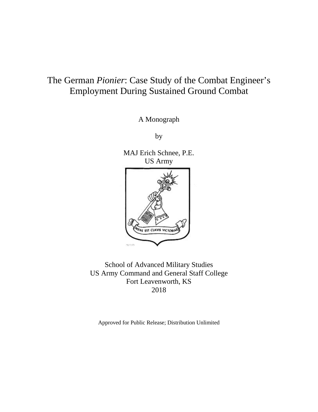# The German *Pionier*: Case Study of the Combat Engineer's Employment During Sustained Ground Combat

A Monograph

by

MAJ Erich Schnee, P.E. US Army WS EST CLAVIS VICTOR  $\alpha_2$  and  $\beta_2$ 

School of Advanced Military Studies US Army Command and General Staff College Fort Leavenworth, KS 2018

Approved for Public Release; Distribution Unlimited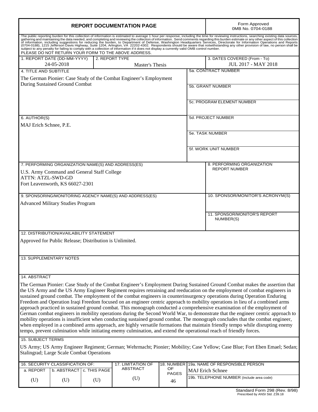| <b>REPORT DOCUMENTATION PAGE</b>                                                                                                                                                                                                                                                                                                                                                                                                                                                                                                                                                                                                                                                                                                                                                                                                                                                                                                                                                                                                                                                                                                                                                  |                                                         |                                                |                                                                    |                    | Form Approved<br>0MB No. 0704-0188                         |                                                                                                                                                                                                                                |
|-----------------------------------------------------------------------------------------------------------------------------------------------------------------------------------------------------------------------------------------------------------------------------------------------------------------------------------------------------------------------------------------------------------------------------------------------------------------------------------------------------------------------------------------------------------------------------------------------------------------------------------------------------------------------------------------------------------------------------------------------------------------------------------------------------------------------------------------------------------------------------------------------------------------------------------------------------------------------------------------------------------------------------------------------------------------------------------------------------------------------------------------------------------------------------------|---------------------------------------------------------|------------------------------------------------|--------------------------------------------------------------------|--------------------|------------------------------------------------------------|--------------------------------------------------------------------------------------------------------------------------------------------------------------------------------------------------------------------------------|
|                                                                                                                                                                                                                                                                                                                                                                                                                                                                                                                                                                                                                                                                                                                                                                                                                                                                                                                                                                                                                                                                                                                                                                                   |                                                         |                                                | PLEASE DO NOT RETURN YOUR FORM TO THE ABOVE ADDRESS.               |                    |                                                            | The public reporting burden for this collection of information is estimated to average 1 hour per response, including the time for reviewing instructions, searching existing data sources, gathering and maintaining the data |
| 1. REPORT DATE (DD-MM-YYYY)<br>2. REPORT TYPE<br>24-05-2018<br>Master's Thesis                                                                                                                                                                                                                                                                                                                                                                                                                                                                                                                                                                                                                                                                                                                                                                                                                                                                                                                                                                                                                                                                                                    |                                                         |                                                |                                                                    |                    | 3. DATES COVERED (From - To)<br><b>JUL 2017 - MAY 2018</b> |                                                                                                                                                                                                                                |
| 4. TITLE AND SUBTITLE                                                                                                                                                                                                                                                                                                                                                                                                                                                                                                                                                                                                                                                                                                                                                                                                                                                                                                                                                                                                                                                                                                                                                             |                                                         |                                                |                                                                    |                    |                                                            | 5a. CONTRACT NUMBER                                                                                                                                                                                                            |
|                                                                                                                                                                                                                                                                                                                                                                                                                                                                                                                                                                                                                                                                                                                                                                                                                                                                                                                                                                                                                                                                                                                                                                                   |                                                         |                                                | The German Pionier: Case Study of the Combat Engineer's Employment |                    |                                                            |                                                                                                                                                                                                                                |
|                                                                                                                                                                                                                                                                                                                                                                                                                                                                                                                                                                                                                                                                                                                                                                                                                                                                                                                                                                                                                                                                                                                                                                                   | <b>During Sustained Ground Combat</b>                   |                                                |                                                                    |                    | 5b. GRANT NUMBER                                           |                                                                                                                                                                                                                                |
|                                                                                                                                                                                                                                                                                                                                                                                                                                                                                                                                                                                                                                                                                                                                                                                                                                                                                                                                                                                                                                                                                                                                                                                   |                                                         |                                                |                                                                    |                    |                                                            | 5c. PROGRAM ELEMENT NUMBER                                                                                                                                                                                                     |
| 6. AUTHOR(S)                                                                                                                                                                                                                                                                                                                                                                                                                                                                                                                                                                                                                                                                                                                                                                                                                                                                                                                                                                                                                                                                                                                                                                      |                                                         |                                                |                                                                    |                    |                                                            | 5d. PROJECT NUMBER                                                                                                                                                                                                             |
| MAJ Erich Schnee, P.E.                                                                                                                                                                                                                                                                                                                                                                                                                                                                                                                                                                                                                                                                                                                                                                                                                                                                                                                                                                                                                                                                                                                                                            |                                                         |                                                |                                                                    |                    |                                                            |                                                                                                                                                                                                                                |
|                                                                                                                                                                                                                                                                                                                                                                                                                                                                                                                                                                                                                                                                                                                                                                                                                                                                                                                                                                                                                                                                                                                                                                                   |                                                         |                                                | 5e. TASK NUMBER                                                    |                    |                                                            |                                                                                                                                                                                                                                |
|                                                                                                                                                                                                                                                                                                                                                                                                                                                                                                                                                                                                                                                                                                                                                                                                                                                                                                                                                                                                                                                                                                                                                                                   |                                                         |                                                |                                                                    |                    |                                                            | 5f. WORK UNIT NUMBER                                                                                                                                                                                                           |
|                                                                                                                                                                                                                                                                                                                                                                                                                                                                                                                                                                                                                                                                                                                                                                                                                                                                                                                                                                                                                                                                                                                                                                                   |                                                         |                                                |                                                                    |                    |                                                            |                                                                                                                                                                                                                                |
|                                                                                                                                                                                                                                                                                                                                                                                                                                                                                                                                                                                                                                                                                                                                                                                                                                                                                                                                                                                                                                                                                                                                                                                   |                                                         |                                                | 7. PERFORMING ORGANIZATION NAME(S) AND ADDRESS(ES)                 |                    |                                                            | 8. PERFORMING ORGANIZATION                                                                                                                                                                                                     |
|                                                                                                                                                                                                                                                                                                                                                                                                                                                                                                                                                                                                                                                                                                                                                                                                                                                                                                                                                                                                                                                                                                                                                                                   |                                                         | U.S. Army Command and General Staff College    |                                                                    |                    |                                                            | <b>REPORT NUMBER</b>                                                                                                                                                                                                           |
| <b>ATTN: ATZL-SWD-GD</b>                                                                                                                                                                                                                                                                                                                                                                                                                                                                                                                                                                                                                                                                                                                                                                                                                                                                                                                                                                                                                                                                                                                                                          |                                                         |                                                |                                                                    |                    |                                                            |                                                                                                                                                                                                                                |
|                                                                                                                                                                                                                                                                                                                                                                                                                                                                                                                                                                                                                                                                                                                                                                                                                                                                                                                                                                                                                                                                                                                                                                                   | Fort Leavenworth, KS 66027-2301                         |                                                |                                                                    |                    |                                                            |                                                                                                                                                                                                                                |
|                                                                                                                                                                                                                                                                                                                                                                                                                                                                                                                                                                                                                                                                                                                                                                                                                                                                                                                                                                                                                                                                                                                                                                                   |                                                         |                                                | 9. SPONSORING/MONITORING AGENCY NAME(S) AND ADDRESS(ES)            |                    |                                                            | 10. SPONSOR/MONITOR'S ACRONYM(S)                                                                                                                                                                                               |
| <b>Advanced Military Studies Program</b>                                                                                                                                                                                                                                                                                                                                                                                                                                                                                                                                                                                                                                                                                                                                                                                                                                                                                                                                                                                                                                                                                                                                          |                                                         |                                                |                                                                    |                    |                                                            |                                                                                                                                                                                                                                |
|                                                                                                                                                                                                                                                                                                                                                                                                                                                                                                                                                                                                                                                                                                                                                                                                                                                                                                                                                                                                                                                                                                                                                                                   |                                                         |                                                |                                                                    |                    |                                                            |                                                                                                                                                                                                                                |
|                                                                                                                                                                                                                                                                                                                                                                                                                                                                                                                                                                                                                                                                                                                                                                                                                                                                                                                                                                                                                                                                                                                                                                                   |                                                         |                                                |                                                                    |                    |                                                            | 11. SPONSOR/MONITOR'S REPORT<br>NUMBER(S)                                                                                                                                                                                      |
|                                                                                                                                                                                                                                                                                                                                                                                                                                                                                                                                                                                                                                                                                                                                                                                                                                                                                                                                                                                                                                                                                                                                                                                   |                                                         | <b>12. DISTRIBUTION/AVAILABILITY STATEMENT</b> |                                                                    |                    |                                                            |                                                                                                                                                                                                                                |
|                                                                                                                                                                                                                                                                                                                                                                                                                                                                                                                                                                                                                                                                                                                                                                                                                                                                                                                                                                                                                                                                                                                                                                                   | Approved for Public Release; Distribution is Unlimited. |                                                |                                                                    |                    |                                                            |                                                                                                                                                                                                                                |
| 13. SUPPLEMENTARY NOTES                                                                                                                                                                                                                                                                                                                                                                                                                                                                                                                                                                                                                                                                                                                                                                                                                                                                                                                                                                                                                                                                                                                                                           |                                                         |                                                |                                                                    |                    |                                                            |                                                                                                                                                                                                                                |
|                                                                                                                                                                                                                                                                                                                                                                                                                                                                                                                                                                                                                                                                                                                                                                                                                                                                                                                                                                                                                                                                                                                                                                                   |                                                         |                                                |                                                                    |                    |                                                            |                                                                                                                                                                                                                                |
| 14. ABSTRACT                                                                                                                                                                                                                                                                                                                                                                                                                                                                                                                                                                                                                                                                                                                                                                                                                                                                                                                                                                                                                                                                                                                                                                      |                                                         |                                                |                                                                    |                    |                                                            |                                                                                                                                                                                                                                |
| The German Pionier: Case Study of the Combat Engineer's Employment During Sustained Ground Combat makes the assertion that<br>the US Army and the US Army Engineer Regiment requires retraining and reeducation on the employment of combat engineers in<br>sustained ground combat. The employment of the combat engineers in counterinsurgency operations during Operation Enduring<br>Freedom and Operation Iraqi Freedom focused on an engineer centric approach to mobility operations in lieu of a combined arms<br>approach practiced in sustained ground combat. This monograph conducted a comprehensive examination of the employment of<br>German combat engineers in mobility operations during the Second World War, to demonstrate that the engineer centric approach to<br>mobility operations is insufficient when conducting sustained ground combat. The monograph concludes that the combat engineer,<br>when employed in a combined arms approach, are highly versatile formations that maintain friendly tempo while disrupting enemy<br>tempo, prevent culmination while initiating enemy culmination, and extend the operational reach of friendly forces. |                                                         |                                                |                                                                    |                    |                                                            |                                                                                                                                                                                                                                |
| <b>15. SUBJECT TERMS</b>                                                                                                                                                                                                                                                                                                                                                                                                                                                                                                                                                                                                                                                                                                                                                                                                                                                                                                                                                                                                                                                                                                                                                          |                                                         |                                                |                                                                    |                    |                                                            |                                                                                                                                                                                                                                |
| US Army; US Army Engineer Regiment; German; Wehrmacht; Pionier; Mobility; Case Yellow; Case Blue; Fort Eben Emael; Sedan;<br>Stalingrad; Large Scale Combat Operations                                                                                                                                                                                                                                                                                                                                                                                                                                                                                                                                                                                                                                                                                                                                                                                                                                                                                                                                                                                                            |                                                         |                                                |                                                                    |                    |                                                            |                                                                                                                                                                                                                                |
|                                                                                                                                                                                                                                                                                                                                                                                                                                                                                                                                                                                                                                                                                                                                                                                                                                                                                                                                                                                                                                                                                                                                                                                   | 16. SECURITY CLASSIFICATION OF:                         |                                                | 17. LIMITATION OF                                                  |                    |                                                            | 18. NUMBER 19a. NAME OF RESPONSIBLE PERSON                                                                                                                                                                                     |
| a. REPORT                                                                                                                                                                                                                                                                                                                                                                                                                                                                                                                                                                                                                                                                                                                                                                                                                                                                                                                                                                                                                                                                                                                                                                         | b. ABSTRACT                                             | c. THIS PAGE                                   | <b>ABSTRACT</b>                                                    | OF<br><b>PAGES</b> |                                                            | <b>MAJ Erich Schnee</b>                                                                                                                                                                                                        |
| (U)                                                                                                                                                                                                                                                                                                                                                                                                                                                                                                                                                                                                                                                                                                                                                                                                                                                                                                                                                                                                                                                                                                                                                                               | (U)                                                     | (U)                                            | (U)                                                                | 46                 |                                                            | 19b. TELEPHONE NUMBER (Include area code)                                                                                                                                                                                      |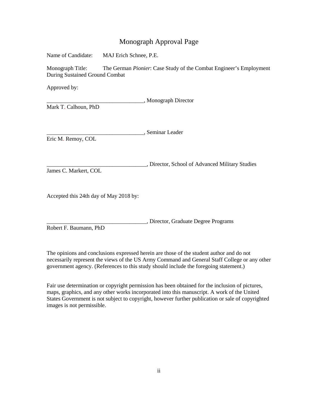## Monograph Approval Page

Name of Candidate: MAJ Erich Schnee, P.E.

Monograph Title: The German *Pionier*: Case Study of the Combat Engineer's Employment During Sustained Ground Combat

Approved by:

\_\_\_\_\_\_\_\_\_\_\_\_\_\_\_\_\_\_\_\_\_\_\_\_\_\_\_\_\_\_\_\_\_\_, Monograph Director

Mark T. Calhoun, PhD

\_\_\_\_\_\_\_\_\_\_\_\_\_\_\_\_\_\_\_\_\_\_\_\_\_\_\_\_\_\_\_\_\_\_, Seminar Leader Eric M. Remoy, COL

\_\_\_\_\_\_\_\_\_\_\_\_\_\_\_\_\_\_\_\_\_\_\_\_\_\_\_\_\_\_\_\_\_\_\_, Director, School of Advanced Military Studies

James C. Markert, COL

Accepted this 24th day of May 2018 by:

\_\_\_\_\_\_\_\_\_\_\_\_\_\_\_\_\_\_\_\_\_\_\_\_\_\_\_\_\_\_\_\_\_\_\_, Director, Graduate Degree Programs

Robert F. Baumann, PhD

The opinions and conclusions expressed herein are those of the student author and do not necessarily represent the views of the US Army Command and General Staff College or any other government agency. (References to this study should include the foregoing statement.)

Fair use determination or copyright permission has been obtained for the inclusion of pictures, maps, graphics, and any other works incorporated into this manuscript. A work of the United States Government is not subject to copyright, however further publication or sale of copyrighted images is not permissible.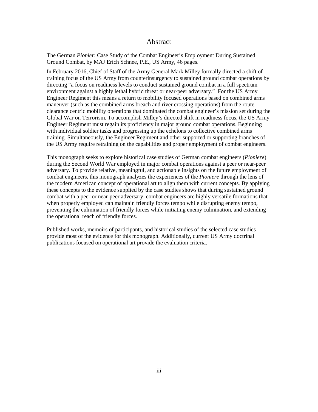### Abstract

The German *Pionier*: Case Study of the Combat Engineer's Employment During Sustained Ground Combat, by MAJ Erich Schnee, P.E., US Army, 46 pages.

In February 2016, Chief of Staff of the Army General Mark Milley formally directed a shift of training focus of the US Army from counterinsurgency to sustained ground combat operations by directing "a focus on readiness levels to conduct sustained ground combat in a full spectrum environment against a highly lethal hybrid threat or near-peer adversary." For the US Army Engineer Regiment this means a return to mobility focused operations based on combined arms maneuver (such as the combined arms breach and river crossing operations) from the route clearance centric mobility operations that dominated the combat engineer's mission set during the Global War on Terrorism. To accomplish Milley's directed shift in readiness focus, the US Army Engineer Regiment must regain its proficiency in major ground combat operations. Beginning with individual soldier tasks and progressing up the echelons to collective combined arms training. Simultaneously, the Engineer Regiment and other supported or supporting branches of the US Army require retraining on the capabilities and proper employment of combat engineers.

This monograph seeks to explore historical case studies of German combat engineers (*Pioniere*) during the Second World War employed in major combat operations against a peer or near-peer adversary. To provide relative, meaningful, and actionable insights on the future employment of combat engineers, this monograph analyzes the experiences of the *Pioniere* through the lens of the modern American concept of operational art to align them with current concepts. By applying these concepts to the evidence supplied by the case studies shows that during sustained ground combat with a peer or near-peer adversary, combat engineers are highly versatile formations that when properly employed can maintain friendly forces tempo while disrupting enemy tempo, preventing the culmination of friendly forces while initiating enemy culmination, and extending the operational reach of friendly forces.

Published works, memoirs of participants, and historical studies of the selected case studies provide most of the evidence for this monograph. Additionally, current US Army doctrinal publications focused on operational art provide the evaluation criteria.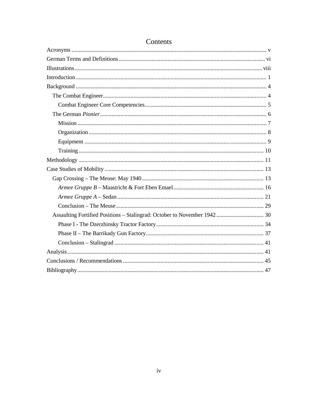## Contents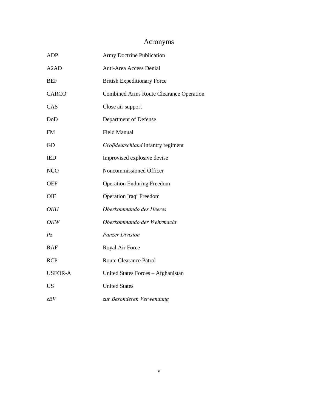# Acronyms

<span id="page-5-0"></span>

| <b>ADP</b>                    | <b>Army Doctrine Publication</b>               |
|-------------------------------|------------------------------------------------|
| A <sub>2</sub> A <sub>D</sub> | Anti-Area Access Denial                        |
| <b>BEF</b>                    | <b>British Expeditionary Force</b>             |
| <b>CARCO</b>                  | <b>Combined Arms Route Clearance Operation</b> |
| CAS                           | Close air support                              |
| DoD                           | Department of Defense                          |
| <b>FM</b>                     | <b>Field Manual</b>                            |
| GD                            | Großdeutschland infantry regiment              |
| IED                           | Improvised explosive devise                    |
| <b>NCO</b>                    | Noncommissioned Officer                        |
| <b>OEF</b>                    | <b>Operation Enduring Freedom</b>              |
| OIF                           | Operation Iraqi Freedom                        |
| OKH                           | Oberkommando des Heeres                        |
| OKW                           | Oberkommando der Wehrmacht                     |
| $P_{\mathcal{Z}}$             | <b>Panzer Division</b>                         |
| <b>RAF</b>                    | Royal Air Force                                |
| <b>RCP</b>                    | <b>Route Clearance Patrol</b>                  |
| <b>USFOR-A</b>                | United States Forces - Afghanistan             |
| <b>US</b>                     | <b>United States</b>                           |
| zBV                           | zur Besonderen Verwendung                      |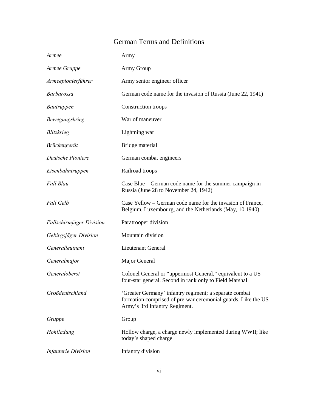## German Terms and Definitions

<span id="page-6-0"></span>

| Armee                      | Army                                                                                                                                                     |
|----------------------------|----------------------------------------------------------------------------------------------------------------------------------------------------------|
| Armee Gruppe               | Army Group                                                                                                                                               |
| Armeepionierführer         | Army senior engineer officer                                                                                                                             |
| <i>Barbarossa</i>          | German code name for the invasion of Russia (June 22, 1941)                                                                                              |
| <i>Bautruppen</i>          | Construction troops                                                                                                                                      |
| Bewegungskrieg             | War of maneuver                                                                                                                                          |
| Blitzkrieg                 | Lightning war                                                                                                                                            |
| Brückengerät               | Bridge material                                                                                                                                          |
| Deutsche Pioniere          | German combat engineers                                                                                                                                  |
| Eisenbahntruppen           | Railroad troops                                                                                                                                          |
| Fall Blau                  | Case Blue – German code name for the summer campaign in<br>Russia (June 28 to November 24, 1942)                                                         |
| <b>Fall Gelb</b>           | Case Yellow – German code name for the invasion of France,<br>Belgium, Luxembourg, and the Netherlands (May, 10 1940)                                    |
| Fallschirmjäger Division   | Paratrooper division                                                                                                                                     |
| Gebirgsjäger Division      | Mountain division                                                                                                                                        |
| Generalleutnant            | <b>Lieutenant General</b>                                                                                                                                |
| Generalmajor               | Major General                                                                                                                                            |
| Generaloberst              | Colonel General or "uppermost General," equivalent to a US<br>four-star general. Second in rank only to Field Marshal                                    |
| Großdeutschland            | 'Greater Germany' infantry regiment; a separate combat<br>formation comprised of pre-war ceremonial guards. Like the US<br>Army's 3rd Infantry Regiment. |
| Gruppe                     | Group                                                                                                                                                    |
| Hohlladung                 | Hollow charge, a charge newly implemented during WWII; like<br>today's shaped charge                                                                     |
| <b>Infanterie Division</b> | Infantry division                                                                                                                                        |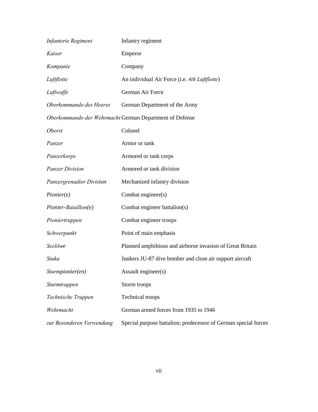| Infanterie Regiment       | Infantry regiment                                               |
|---------------------------|-----------------------------------------------------------------|
| Kaiser                    | Emperor                                                         |
| Kompanie                  | Company                                                         |
| Luftflotte                | An individual Air Force (i.e. 4th Luftflotte)                   |
| Luftwaffe                 | German Air Force                                                |
| Oberkommando des Heeres   | German Department of the Army                                   |
|                           | Oberkommando der Wehrmacht German Department of Defense         |
| <b>Oberst</b>             | Colonel                                                         |
| Panzer                    | Armor or tank                                                   |
| Panzerkorps               | Armored or tank corps                                           |
| <b>Panzer Division</b>    | Armored or tank division                                        |
| Panzergrenadier Division  | Mechanized infantry division                                    |
| Pionier(e)                | Combat engineer(s)                                              |
| Pionier-Bataillon(e)      | Combat engineer battalion(s)                                    |
| Pioniertruppen            | Combat engineer troops                                          |
| Schwerpunkt               | Point of main emphasis                                          |
| Seelöwe                   | Planned amphibious and airborne invasion of Great Britain       |
| Stuka                     | Junkers JU-87 dive bomber and close air support aircraft        |
| Sturmpionier(en)          | Assault engineer(s)                                             |
| Sturmtruppen              | Storm troops                                                    |
| Technische Truppen        | <b>Technical</b> troops                                         |
| Wehrmacht                 | German armed forces from 1935 to 1946                           |
| zur Besonderen Verwendung | Special purpose battalion; predecessor of German special forces |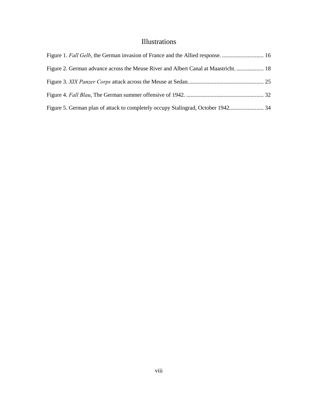## Illustrations

<span id="page-8-0"></span>

| Figure 2. German advance across the Meuse River and Albert Canal at Maastricht.  18 |  |
|-------------------------------------------------------------------------------------|--|
|                                                                                     |  |
|                                                                                     |  |
|                                                                                     |  |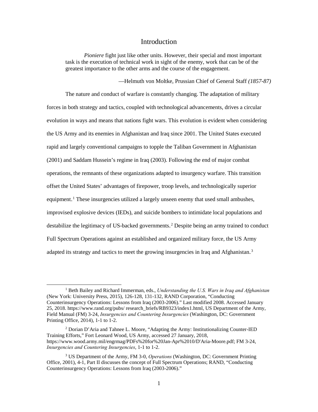### Introduction

<span id="page-9-0"></span>*Pioniere* fight just like other units. However, their special and most important task is the execution of technical work in sight of the enemy, work that can be of the greatest importance to the other arms and the course of the engagement.

—Helmuth von Moltke, Prussian Chief of General Staff *(1857-87)*

The nature and conduct of warfare is constantly changing. The adaptation of military forces in both strategy and tactics, coupled with technological advancements, drives a circular evolution in ways and means that nations fight wars. This evolution is evident when considering the US Army and its enemies in Afghanistan and Iraq since 2001. The United States executed rapid and largely conventional campaigns to topple the Taliban Government in Afghanistan (2001) and Saddam Hussein's regime in Iraq (2003). Following the end of major combat operations, the remnants of these organizations adapted to insurgency warfare. This transition offset the United States' advantages of firepower, troop levels, and technologically superior equipment.<sup>1</sup> These insurgencies utilized a largely unseen enemy that used small ambushes, improvised explosive devices (IEDs), and suicide bombers to intimidate local populations and destabilize the legitimacy of US-backed governments.<sup>2</sup> Despite being an army trained to conduct Full Spectrum Operations against an established and organized military force, the US Army adapted its strategy and tactics to meet the growing insurgencies in Iraq and Afghanistan.<sup>3</sup>

 <sup>1</sup> Beth Bailey and Richard Immerman, eds., *Understanding the U.S. Wars in Iraq and Afghanistan* (New York: University Press, 2015), 126-128, 131-132, RAND Corporation, "Conducting Counterinsurgency Operations: Lessons from Iraq (2003-2006)." Last modified 2008. Accessed January 25, 2018. https://www.rand.org/pubs/ research\_briefs/RB9323/index1.html, US Department of the Army, Field Manual (FM) 3-24, *Insurgencies and Countering Insurgencies* (Washington, DC: Government Printing Office, 2014), 1-1 to 1-2.

<sup>2</sup> Dorian D'Aria and Tahnee L. Moore, "Adapting the Army: Institutionalizing Counter-IED Training Efforts," Fort Leonard Wood, US Army, accessed 27 January, 2018, https://www.wood.army.mil/engrmag/PDFs%20for%20Jan-Apr%2010/D'Aria-Moore.pdf; FM 3-24, *Insurgencies and Countering Insurgencies*, 1-1 to 1-2.

<sup>3</sup> US Department of the Army, FM 3-0, *Operations* (Washington, DC: Government Printing Office, 2001), 4-1, Part II discusses the concept of Full Spectrum Operations; RAND, "Conducting Counterinsurgency Operations: Lessons from Iraq (2003-2006)."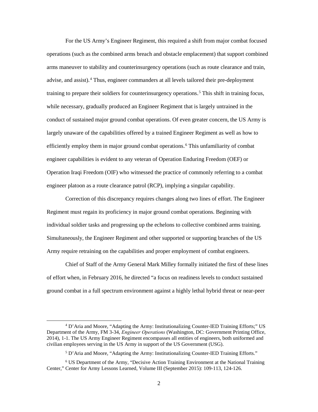For the US Army's Engineer Regiment, this required a shift from major combat focused operations (such as the combined arms breach and obstacle emplacement) that support combined arms maneuver to stability and counterinsurgency operations (such as route clearance and train, advise, and assist).<sup>4</sup> Thus, engineer commanders at all levels tailored their pre-deployment training to prepare their soldiers for counterinsurgency operations.<sup>5</sup> This shift in training focus, while necessary, gradually produced an Engineer Regiment that is largely untrained in the conduct of sustained major ground combat operations. Of even greater concern, the US Army is largely unaware of the capabilities offered by a trained Engineer Regiment as well as how to efficiently employ them in major ground combat operations.<sup>6</sup> This unfamiliarity of combat engineer capabilities is evident to any veteran of Operation Enduring Freedom (OEF) or Operation Iraqi Freedom (OIF) who witnessed the practice of commonly referring to a combat engineer platoon as a route clearance patrol (RCP), implying a singular capability.

Correction of this discrepancy requires changes along two lines of effort. The Engineer Regiment must regain its proficiency in major ground combat operations. Beginning with individual soldier tasks and progressing up the echelons to collective combined arms training. Simultaneously, the Engineer Regiment and other supported or supporting branches of the US Army require retraining on the capabilities and proper employment of combat engineers.

Chief of Staff of the Army General Mark Milley formally initiated the first of these lines of effort when, in February 2016, he directed "a focus on readiness levels to conduct sustained ground combat in a full spectrum environment against a highly lethal hybrid threat or near-peer

 <sup>4</sup> D'Aria and Moore, "Adapting the Army: Institutionalizing Counter-IED Training Efforts;" US Department of the Army, FM 3-34, *Engineer Operations* (Washington, DC: Government Printing Office, 2014), 1-1. The US Army Engineer Regiment encompasses all entities of engineers, both uniformed and civilian employees serving in the US Army in support of the US Government (USG).

<sup>5</sup> D'Aria and Moore, "Adapting the Army: Institutionalizing Counter-IED Training Efforts."

<sup>6</sup> US Department of the Army, "Decisive Action Training Environment at the National Training Center," Center for Army Lessons Learned, Volume III (September 2015): 109-113, 124-126.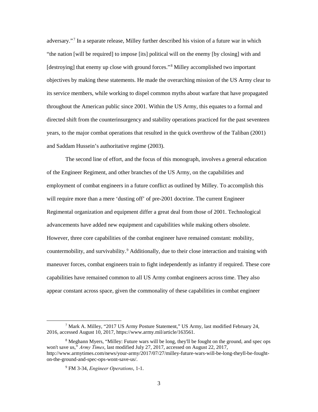adversary."<sup>7</sup> In a separate release, Milley further described his vision of a future war in which "the nation [will be required] to impose [its] political will on the enemy [by closing] with and [destroying] that enemy up close with ground forces."<sup>8</sup> Milley accomplished two important objectives by making these statements. He made the overarching mission of the US Army clear to its service members, while working to dispel common myths about warfare that have propagated throughout the American public since 2001. Within the US Army, this equates to a formal and directed shift from the counterinsurgency and stability operations practiced for the past seventeen years, to the major combat operations that resulted in the quick overthrow of the Taliban (2001) and Saddam Hussein's authoritative regime (2003).

The second line of effort, and the focus of this monograph, involves a general education of the Engineer Regiment, and other branches of the US Army, on the capabilities and employment of combat engineers in a future conflict as outlined by Milley. To accomplish this will require more than a mere 'dusting off' of pre-2001 doctrine. The current Engineer Regimental organization and equipment differ a great deal from those of 2001. Technological advancements have added new equipment and capabilities while making others obsolete. However, three core capabilities of the combat engineer have remained constant: mobility, countermobility, and survivability.<sup>9</sup> Additionally, due to their close interaction and training with maneuver forces, combat engineers train to fight independently as infantry if required. These core capabilities have remained common to all US Army combat engineers across time. They also appear constant across space, given the commonality of these capabilities in combat engineer

 <sup>7</sup> Mark A. Milley, "2017 US Army Posture Statement," US Army, last modified February 24, 2016, accessed August 10, 2017, https://www.army.mil/article/163561.

<sup>8</sup> Meghann Myers, "Milley: Future wars will be long, they'll be fought on the ground, and spec ops won't save us," *Army Times*, last modified July 27, 2017, accessed on August 22, 2017, http://www.armytimes.com/news/your-army/2017/07/27/milley-future-wars-will-be-long-theyll-be-foughton-the-ground-and-spec-ops-wont-save-us/.

<sup>9</sup> FM 3-34, *Engineer Operations*, 1-1.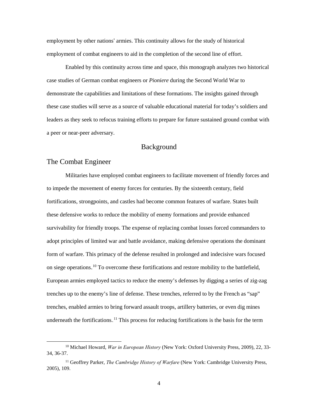employment by other nations' armies. This continuity allows for the study of historical employment of combat engineers to aid in the completion of the second line of effort.

Enabled by this continuity across time and space, this monograph analyzes two historical case studies of German combat engineers or *Pioniere* during the Second World War to demonstrate the capabilities and limitations of these formations. The insights gained through these case studies will serve as a source of valuable educational material for today's soldiers and leaders as they seek to refocus training efforts to prepare for future sustained ground combat with a peer or near-peer adversary.

## Background

## <span id="page-12-1"></span><span id="page-12-0"></span>The Combat Engineer

Militaries have employed combat engineers to facilitate movement of friendly forces and to impede the movement of enemy forces for centuries. By the sixteenth century, field fortifications, strongpoints, and castles had become common features of warfare. States built these defensive works to reduce the mobility of enemy formations and provide enhanced survivability for friendly troops. The expense of replacing combat losses forced commanders to adopt principles of limited war and battle avoidance, making defensive operations the dominant form of warfare. This primacy of the defense resulted in prolonged and indecisive wars focused on siege operations.<sup>10</sup> To overcome these fortifications and restore mobility to the battlefield, European armies employed tactics to reduce the enemy's defenses by digging a series of zig-zag trenches up to the enemy's line of defense. These trenches, referred to by the French as "sap" trenches, enabled armies to bring forward assault troops, artillery batteries, or even dig mines underneath the fortifications.<sup>11</sup> This process for reducing fortifications is the basis for the term

 <sup>10</sup> Michael Howard, *War in European History* (New York: Oxford University Press, 2009), 22, 33- 34, 36-37.

<sup>11</sup> Geoffrey Parker, *The Cambridge History of Warfare* (New York: Cambridge University Press, 2005), 109.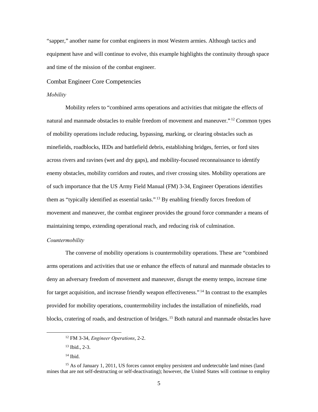"sapper," another name for combat engineers in most Western armies. Although tactics and equipment have and will continue to evolve, this example highlights the continuity through space and time of the mission of the combat engineer.

#### <span id="page-13-0"></span>Combat Engineer Core Competencies

#### *Mobility*

Mobility refers to "combined arms operations and activities that mitigate the effects of natural and manmade obstacles to enable freedom of movement and maneuver."<sup>12</sup> Common types of mobility operations include reducing, bypassing, marking, or clearing obstacles such as minefields, roadblocks, IEDs and battlefield debris, establishing bridges, ferries, or ford sites across rivers and ravines (wet and dry gaps), and mobility-focused reconnaissance to identify enemy obstacles, mobility corridors and routes, and river crossing sites. Mobility operations are of such importance that the US Army Field Manual (FM) 3-34, Engineer Operations identifies them as "typically identified as essential tasks."<sup>13</sup> By enabling friendly forces freedom of movement and maneuver, the combat engineer provides the ground force commander a means of maintaining tempo, extending operational reach, and reducing risk of culmination.

#### *Countermobility*

The converse of mobility operations is countermobility operations. These are "combined arms operations and activities that use or enhance the effects of natural and manmade obstacles to deny an adversary freedom of movement and maneuver, disrupt the enemy tempo, increase time for target acquisition, and increase friendly weapon effectiveness."<sup>14</sup> In contrast to the examples provided for mobility operations, countermobility includes the installation of minefields, road blocks, cratering of roads, and destruction of bridges.<sup>15</sup> Both natural and manmade obstacles have

 <sup>12</sup> FM 3-34, *Engineer Operations*, 2-2.

<sup>13</sup> Ibid., 2-3.

 $14$  Ibid.

<sup>&</sup>lt;sup>15</sup> As of January 1, 2011, US forces cannot employ persistent and undetectable land mines (land mines that are not self-destructing or self-deactivating); however, the United States will continue to employ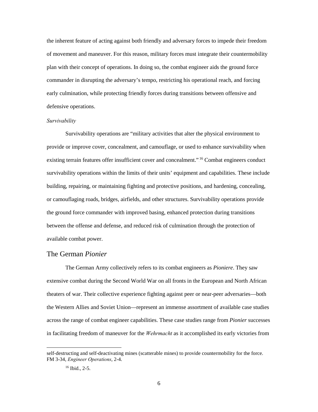the inherent feature of acting against both friendly and adversary forces to impede their freedom of movement and maneuver. For this reason, military forces must integrate their countermobility plan with their concept of operations. In doing so, the combat engineer aids the ground force commander in disrupting the adversary's tempo, restricting his operational reach, and forcing early culmination, while protecting friendly forces during transitions between offensive and defensive operations.

#### *Survivability*

Survivability operations are "military activities that alter the physical environment to provide or improve cover, concealment, and camouflage, or used to enhance survivability when existing terrain features offer insufficient cover and concealment."<sup>16</sup> Combat engineers conduct survivability operations within the limits of their units' equipment and capabilities. These include building, repairing, or maintaining fighting and protective positions, and hardening, concealing, or camouflaging roads, bridges, airfields, and other structures. Survivability operations provide the ground force commander with improved basing, enhanced protection during transitions between the offense and defense, and reduced risk of culmination through the protection of available combat power.

#### <span id="page-14-0"></span>The German *Pionier*

The German Army collectively refers to its combat engineers as *Pioniere*. They saw extensive combat during the Second World War on all fronts in the European and North African theaters of war. Their collective experience fighting against peer or near-peer adversaries—both the Western Allies and Soviet Union—represent an immense assortment of available case studies across the range of combat engineer capabilities. These case studies range from *Pionier* successes in facilitating freedom of maneuver for the *Wehrmacht* as it accomplished its early victories from

 $\overline{a}$ 

self-destructing and self-deactivating mines (scatterable mines) to provide countermobility for the force. FM 3-34, *Engineer Operations*, 2-4.

<sup>16</sup> Ibid., 2-5.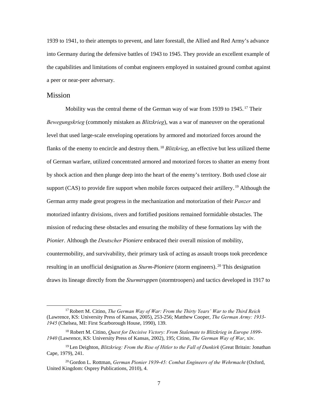1939 to 1941, to their attempts to prevent, and later forestall, the Allied and Red Army's advance into Germany during the defensive battles of 1943 to 1945. They provide an excellent example of the capabilities and limitations of combat engineers employed in sustained ground combat against a peer or near-peer adversary.

#### <span id="page-15-0"></span>Mission

Mobility was the central theme of the German way of war from 1939 to 1945.<sup>17</sup> Their *Bewegungskrieg* (commonly mistaken as *Blitzkrieg*), was a war of maneuver on the operational level that used large-scale enveloping operations by armored and motorized forces around the flanks of the enemy to encircle and destroy them.<sup>18</sup> Blitzkrieg, an effective but less utilized theme of German warfare, utilized concentrated armored and motorized forces to shatter an enemy front by shock action and then plunge deep into the heart of the enemy's territory. Both used close air support (CAS) to provide fire support when mobile forces outpaced their artillery.<sup>19</sup> Although the German army made great progress in the mechanization and motorization of their *Panzer* and motorized infantry divisions, rivers and fortified positions remained formidable obstacles. The mission of reducing these obstacles and ensuring the mobility of these formations lay with the *Pionier*. Although the *Deutscher Pioniere* embraced their overall mission of mobility, countermobility, and survivability, their primary task of acting as assault troops took precedence resulting in an unofficial designation as *Sturm-Pioniere* (storm engineers).<sup>20</sup> This designation draws its lineage directly from the *Sturmtruppen* (stormtroopers) and tactics developed in 1917 to

 <sup>17</sup> Robert M. Citino, *The German Way of War: From the Thirty Years' War to the Third Reich* (Lawrence, KS: University Press of Kansas, 2005), 253-256; Matthew Cooper, *The German Army: 1933- 1945* (Chelsea, MI: First Scarborough House, 1990), 139.

<sup>18</sup> Robert M. Citino, *Quest for Decisive Victory: From Stalemate to Blitzkrieg in Europe 1899- 1940* (Lawrence, KS: University Press of Kansas, 2002), 195; Citino, *The German Way of War*, xiv.

<sup>19</sup> Len Deighton, *Blitzkrieg: From the Rise of Hitler to the Fall of Dunkirk* (Great Britain: Jonathan Cape, 1979), 241.

<sup>20</sup> Gordon L. Rottman, *German Pionier 1939-45: Combat Engineers of the Wehrmacht* (Oxford, United Kingdom: Osprey Publications, 2010), 4.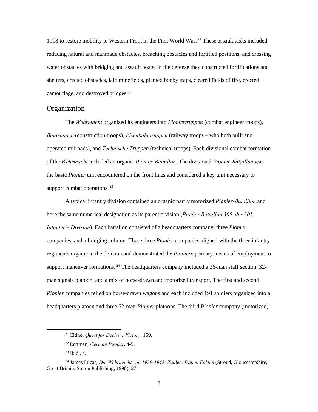1918 to restore mobility to Western Front in the First World War.<sup>21</sup> These assault tasks included reducing natural and manmade obstacles, breaching obstacles and fortified positions, and crossing water obstacles with bridging and assault boats. In the defense they constructed fortifications and shelters, erected obstacles, laid minefields, planted booby traps, cleared fields of fire, erected camouflage, and destroyed bridges.<sup>22</sup>

## <span id="page-16-0"></span>**Organization**

The *Wehrmacht* organized its engineers into *Pioniertruppen* (combat engineer troops), *Bautruppen* (construction troops), *Eisenbahntruppen* (railway troops – who both built and operated railroads), and *Technische Truppen* (technical troops). Each divisional combat formation of the *Wehrmacht* included an organic *Pionier-Bataillon*. The divisional *Pionier-Bataillon* was the basic *Pionier* unit encountered on the front lines and considered a key unit necessary to support combat operations.<sup>23</sup>

A typical infantry division contained an organic partly motorized *Pionier-Bataillon* and bore the same numerical designation as its parent division (*Pionier Bataillon 305. der 305. Infanterie Division*). Each battalion consisted of a headquarters company, three *Pionier* companies, and a bridging column. These three *Pionier* companies aligned with the three infantry regiments organic to the division and demonstrated the *Pioniere* primary means of employment to support maneuver formations.<sup>24</sup> The headquarters company included a 36-man staff section, 32man signals platoon, and a mix of horse-drawn and motorized transport. The first and second *Pionier* companies relied on horse-drawn wagons and each included 191 soldiers organized into a headquarters platoon and three 52-man *Pionier* platoons. The third *Pionier* company (motorized)

 <sup>21</sup> Citino, *Quest for Decisive Victory*, 169.

<sup>22</sup> Rottman, *German Pionier*, 4-5.

 $23$  Ibid., 4.

<sup>24</sup> James Lucas, *Die Wehrmacht von 1939-1945: Zahlen, Daten, Fakten* (Stroud, Gloucestershire, Great Britain: Sutton Publishing, 1998), 27.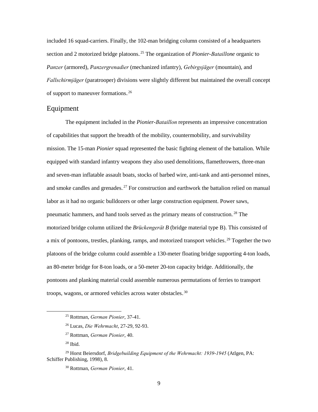included 16 squad-carriers. Finally, the 102-man bridging column consisted of a headquarters section and 2 motorized bridge platoons.<sup>25</sup> The organization of *Pionier-Bataillone* organic to *Panzer* (armored), *Panzergrenadier* (mechanized infantry), *Gebirgsjäger* (mountain), and *Fallschirmjäger* (paratrooper) divisions were slightly different but maintained the overall concept of support to maneuver formations.<sup>26</sup>

## <span id="page-17-0"></span>Equipment

The equipment included in the *Pionier-Bataillon* represents an impressive concentration of capabilities that support the breadth of the mobility, countermobility, and survivability mission. The 15-man *Pionier* squad represented the basic fighting element of the battalion. While equipped with standard infantry weapons they also used demolitions, flamethrowers, three-man and seven-man inflatable assault boats, stocks of barbed wire, anti-tank and anti-personnel mines, and smoke candles and grenades.<sup>27</sup> For construction and earthwork the battalion relied on manual labor as it had no organic bulldozers or other large construction equipment. Power saws, pneumatic hammers, and hand tools served as the primary means of construction.<sup>28</sup> The motorized bridge column utilized the *Brückengerät B* (bridge material type B). This consisted of a mix of pontoons, trestles, planking, ramps, and motorized transport vehicles.<sup>29</sup> Together the two platoons of the bridge column could assemble a 130-meter floating bridge supporting 4-ton loads, an 80-meter bridge for 8-ton loads, or a 50-meter 20-ton capacity bridge. Additionally, the pontoons and planking material could assemble numerous permutations of ferries to transport troops, wagons, or armored vehicles across water obstacles.<sup>30</sup>

 <sup>25</sup> Rottman, *German Pionier*, 37-41.

<sup>26</sup> Lucas, *Die Wehrmacht*, 27-29, 92-93.

<sup>27</sup> Rottman, *German Pionier*, 40.

<sup>28</sup> Ibid.

<sup>29</sup> Horst Beiersdorf, *Bridgebuilding Equipment of the Wehrmacht: 1939-1945* (Atlgen, PA: Schiffer Publishing, 1998), 8.

<sup>30</sup> Rottman, *German Pionier*, 41.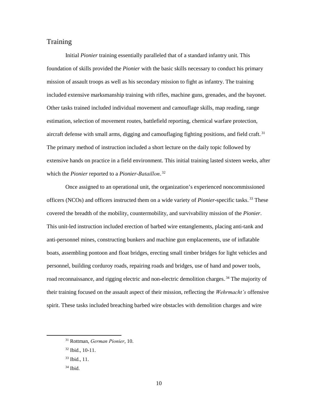## <span id="page-18-0"></span>**Training**

Initial *Pionier* training essentially paralleled that of a standard infantry unit. This foundation of skills provided the *Pionier* with the basic skills necessary to conduct his primary mission of assault troops as well as his secondary mission to fight as infantry. The training included extensive marksmanship training with rifles, machine guns, grenades, and the bayonet. Other tasks trained included individual movement and camouflage skills, map reading, range estimation, selection of movement routes, battlefield reporting, chemical warfare protection, aircraft defense with small arms, digging and camouflaging fighting positions, and field craft.<sup>31</sup> The primary method of instruction included a short lecture on the daily topic followed by extensive hands on practice in a field environment. This initial training lasted sixteen weeks, after which the *Pionier* reported to a *Pionier-Bataillon*.<sup>32</sup>

Once assigned to an operational unit, the organization's experienced noncommissioned officers (NCOs) and officers instructed them on a wide variety of *Pionier*-specific tasks.<sup>33</sup> These covered the breadth of the mobility, countermobility, and survivability mission of the *Pionier*. This unit-led instruction included erection of barbed wire entanglements, placing anti-tank and anti-personnel mines, constructing bunkers and machine gun emplacements, use of inflatable boats, assembling pontoon and float bridges, erecting small timber bridges for light vehicles and personnel, building corduroy roads, repairing roads and bridges, use of hand and power tools, road reconnaissance, and rigging electric and non-electric demolition charges.<sup>34</sup> The majority of their training focused on the assault aspect of their mission, reflecting the *Wehrmacht's* offensive spirit. These tasks included breaching barbed wire obstacles with demolition charges and wire

 <sup>31</sup> Rottman, *German Pionier*, 10.

<sup>32</sup> Ibid., 10-11.

<sup>33</sup> Ibid., 11.

 $34$  Ibid.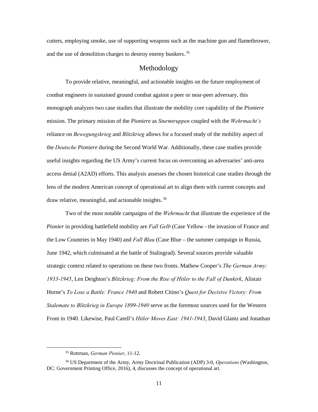cutters, employing smoke, use of supporting weapons such as the machine gun and flamethrower, and the use of demolition charges to destroy enemy bunkers.<sup>35</sup>

#### Methodology

<span id="page-19-0"></span>To provide relative, meaningful, and actionable insights on the future employment of combat engineers in sustained ground combat against a peer or near-peer adversary, this monograph analyzes two case studies that illustrate the mobility core capability of the *Pioniere* mission. The primary mission of the *Pioniere* as *Sturmtruppen* coupled with the *Wehrmacht's* reliance on *Bewegungskrieg* and *Blitzkrieg* allows for a focused study of the mobility aspect of the *Deutsche Pioniere* during the Second World War. Additionally, these case studies provide useful insights regarding the US Army's current focus on overcoming an adversaries' anti-area access denial (A2AD) efforts. This analysis assesses the chosen historical case studies through the lens of the modern American concept of operational art to align them with current concepts and draw relative, meaningful, and actionable insights.<sup>36</sup>

Two of the most notable campaigns of the *Wehrmacht* that illustrate the experience of the *Pionier* in providing battlefield mobility are *Fall Gelb* (Case Yellow - the invasion of France and the Low Countries in May 1940) and *Fall Blau* (Case Blue – the summer campaign in Russia, June 1942, which culminated at the battle of Stalingrad). Several sources provide valuable strategic context related to operations on these two fronts. Mathew Cooper's *The German Army: 1933-1945*, Len Deighton's *Blitzkrieg: From the Rise of Hitler to the Fall of Dunkirk*, Alistair Horne's *To Lose a Battle: France 1940* and Robert Citino's *Quest for Decisive Victory: From Stalemate to Blitzkrieg in Europe 1899-1940* serve as the foremost sources used for the Western Front in 1940. Likewise, Paul Carell's *Hitler Moves East: 1941-1943*, David Glantz and Jonathan

 <sup>35</sup> Rottman, *German Pionier*, 11-12.

<sup>36</sup> US Department of the Army, Army Doctrinal Publication (ADP) 3-0, *Operations* (Washington, DC: Government Printing Office, 2016), 4, discusses the concept of operational art.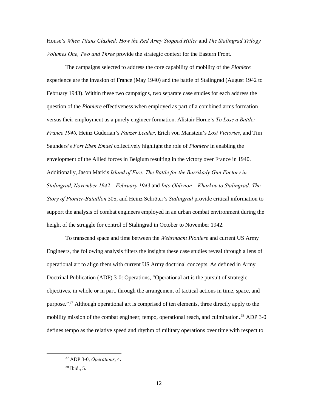House's *When Titans Clashed: How the Red Army Stopped Hitler* and *The Stalingrad Trilogy Volumes One, Two and Three* provide the strategic context for the Eastern Front.

The campaigns selected to address the core capability of mobility of the *Pioniere* experience are the invasion of France (May 1940) and the battle of Stalingrad (August 1942 to February 1943). Within these two campaigns, two separate case studies for each address the question of the *Pioniere* effectiveness when employed as part of a combined arms formation versus their employment as a purely engineer formation. Alistair Horne's *To Lose a Battle: France 1940,* Heinz Guderian's *Panzer Leader*, Erich von Manstein's *Lost Victories*, and Tim Saunders's *Fort Eben Emael* collectively highlight the role of *Pioniere* in enabling the envelopment of the Allied forces in Belgium resulting in the victory over France in 1940. Additionally, Jason Mark's *Island of Fire: The Battle for the Barrikady Gun Factory in Stalingrad, November 1942 – February 1943* and *Into Oblivion – Kharkov to Stalingrad: The Story of Pionier-Bataillon* 305, and Heinz Schrӧter's *Stalingrad* provide critical information to support the analysis of combat engineers employed in an urban combat environment during the height of the struggle for control of Stalingrad in October to November 1942.

To transcend space and time between the *Wehrmacht Pioniere* and current US Army Engineers, the following analysis filters the insights these case studies reveal through a lens of operational art to align them with current US Army doctrinal concepts. As defined in Army Doctrinal Publication (ADP) 3-0: Operations, "Operational art is the pursuit of strategic objectives, in whole or in part, through the arrangement of tactical actions in time, space, and purpose."<sup>37</sup> Although operational art is comprised of ten elements, three directly apply to the mobility mission of the combat engineer; tempo, operational reach, and culmination.<sup>38</sup> ADP 3-0 defines tempo as the relative speed and rhythm of military operations over time with respect to

 <sup>37</sup> ADP 3-0, *Operations*, 4.

<sup>38</sup> Ibid., 5.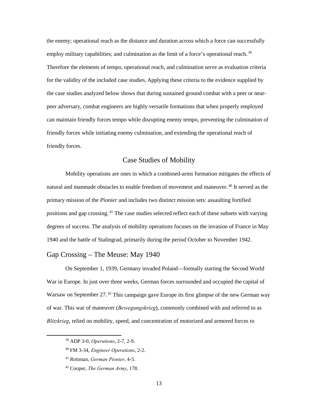the enemy; operational reach as the distance and duration across which a force can successfully employ military capabilities; and culmination as the limit of a force's operational reach.<sup>39</sup> Therefore the elements of tempo, operational reach, and culmination serve as evaluation criteria for the validity of the included case studies. Applying these criteria to the evidence supplied by the case studies analyzed below shows that during sustained ground combat with a peer or nearpeer adversary, combat engineers are highly versatile formations that when properly employed can maintain friendly forces tempo while disrupting enemy tempo, preventing the culmination of friendly forces while initiating enemy culmination, and extending the operational reach of friendly forces.

## Case Studies of Mobility

<span id="page-21-0"></span>Mobility operations are ones in which a combined-arms formation mitigates the effects of natural and manmade obstacles to enable freedom of movement and maneuver.<sup>40</sup> It served as the primary mission of the *Pionier* and includes two distinct mission sets: assaulting fortified positions and gap crossing.<sup>41</sup> The case studies selected reflect each of these subsets with varying degrees of success. The analysis of mobility operations focuses on the invasion of France in May 1940 and the battle of Stalingrad, primarily during the period October to November 1942.

## <span id="page-21-1"></span>Gap Crossing – The Meuse: May 1940

On September 1, 1939, Germany invaded Poland—formally starting the Second World War in Europe. In just over three weeks, German forces surrounded and occupied the capital of Warsaw on September 27.<sup>42</sup> This campaign gave Europe its first glimpse of the new German way of war. This war of maneuver (*Bewegungskrieg*), commonly combined with and referred to as *Blitzkrieg*, relied on mobility, speed, and concentration of motorized and armored forces to

 <sup>39</sup> ADP 3-0, *Operations*, 2-7, 2-9.

<sup>40</sup> FM 3-34, *Engineer Operations*, 2-2.

<sup>41</sup> Rottman, *German Pionier*, 4-5.

<sup>42</sup> Cooper, *The German Army*, 178.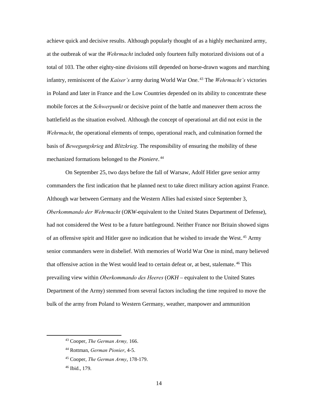achieve quick and decisive results. Although popularly thought of as a highly mechanized army, at the outbreak of war the *Wehrmacht* included only fourteen fully motorized divisions out of a total of 103. The other eighty-nine divisions still depended on horse-drawn wagons and marching infantry, reminiscent of the *Kaiser's* army during World War One.<sup>43</sup> The *Wehrmacht's* victories in Poland and later in France and the Low Countries depended on its ability to concentrate these mobile forces at the *Schwerpunkt* or decisive point of the battle and maneuver them across the battlefield as the situation evolved. Although the concept of operational art did not exist in the *Wehrmacht*, the operational elements of tempo, operational reach, and culmination formed the basis of *Bewegungskrieg* and *Blitzkrieg*. The responsibility of ensuring the mobility of these mechanized formations belonged to the *Pioniere*.<sup>44</sup>

On September 25, two days before the fall of Warsaw, Adolf Hitler gave senior army commanders the first indication that he planned next to take direct military action against France. Although war between Germany and the Western Allies had existed since September 3, *Oberkommando der Wehrmacht* (*OKW*-equivalent to the United States Department of Defense), had not considered the West to be a future battleground. Neither France nor Britain showed signs of an offensive spirit and Hitler gave no indication that he wished to invade the West.<sup>45</sup> Army senior commanders were in disbelief. With memories of World War One in mind, many believed that offensive action in the West would lead to certain defeat or, at best, stalemate.<sup>46</sup> This prevailing view within *Oberkommando des Heeres* (*OKH* – equivalent to the United States Department of the Army) stemmed from several factors including the time required to move the bulk of the army from Poland to Western Germany, weather, manpower and ammunition

 <sup>43</sup> Cooper, *The German Army,* 166.

<sup>44</sup> Rottman, *German Pionier*, 4-5.

<sup>45</sup> Cooper, *The German Army*, 178-179.

<sup>46</sup> Ibid., 179.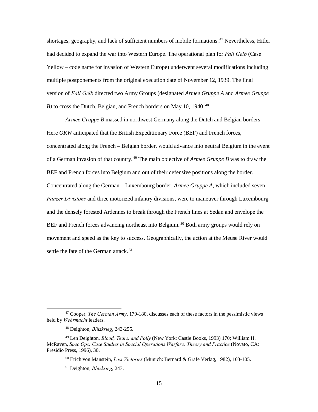shortages, geography, and lack of sufficient numbers of mobile formations.<sup>47</sup> Nevertheless, Hitler had decided to expand the war into Western Europe. The operational plan for *Fall Gelb* (Case Yellow – code name for invasion of Western Europe) underwent several modifications including multiple postponements from the original execution date of November 12, 1939. The final version of *Fall Gelb* directed two Army Groups (designated *Armee Gruppe A* and *Armee Gruppe B*) to cross the Dutch, Belgian, and French borders on May 10, 1940.<sup>48</sup>

*Armee Gruppe B* massed in northwest Germany along the Dutch and Belgian borders. Here *OKW* anticipated that the British Expeditionary Force (BEF) and French forces, concentrated along the French – Belgian border, would advance into neutral Belgium in the event of a German invasion of that country.<sup>49</sup> The main objective of *Armee Gruppe B* was to draw the BEF and French forces into Belgium and out of their defensive positions along the border. Concentrated along the German – Luxembourg border, *Armee Gruppe A*, which included seven *Panzer Divisions* and three motorized infantry divisions, were to maneuver through Luxembourg and the densely forested Ardennes to break through the French lines at Sedan and envelope the BEF and French forces advancing northeast into Belgium.<sup>50</sup> Both army groups would rely on movement and speed as the key to success. Geographically, the action at the Meuse River would settle the fate of the German attack.<sup>51</sup>

<sup>50</sup> Erich von Manstein, *Lost Victories* (Munich: Bernard & Gräfe Verlag, 1982), 103-105.

 <sup>47</sup> Cooper, *The German Army*, 179-180, discusses each of these factors in the pessimistic views held by *Wehrmacht* leaders.

<sup>48</sup> Deighton, *Blitzkrieg*, 243-255.

<sup>49</sup> Len Deighton, *Blood, Tears, and Folly* (New York: Castle Books, 1993) 170; William H. McRaven, *Spec Ops: Case Studies in Special Operations Warfare: Theory and Practice* (Novato, CA: Presidio Press, 1996), 30.

<sup>51</sup> Deighton, *Blitzkrieg*, 243.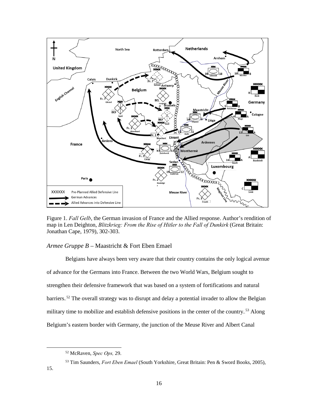

<span id="page-24-1"></span>Figure 1. *Fall Gelb*, the German invasion of France and the Allied response. Author's rendition of map in Len Deighton, *Blitzkrieg: From the Rise of Hitler to the Fall of Dunkirk* (Great Britain: Jonathan Cape, 1979), 302-303.

#### <span id="page-24-0"></span>*Armee Gruppe B* – Maastricht & Fort Eben Emael

Belgians have always been very aware that their country contains the only logical avenue of advance for the Germans into France. Between the two World Wars, Belgium sought to strengthen their defensive framework that was based on a system of fortifications and natural barriers.<sup>52</sup> The overall strategy was to disrupt and delay a potential invader to allow the Belgian military time to mobilize and establish defensive positions in the center of the country.<sup>53</sup> Along Belgium's eastern border with Germany, the junction of the Meuse River and Albert Canal

 <sup>52</sup> McRaven, *Spec Ops,* 29.

<sup>53</sup> Tim Saunders, *Fort Eben Emael* (South Yorkshire, Great Britain: Pen & Sword Books, 2005),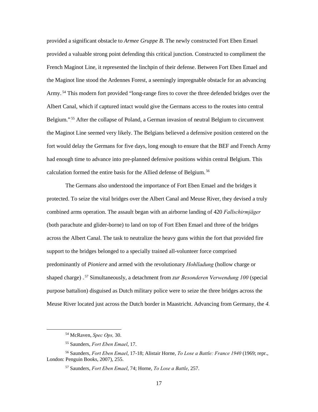provided a significant obstacle to *Armee Gruppe B*. The newly constructed Fort Eben Emael provided a valuable strong point defending this critical junction. Constructed to compliment the French Maginot Line, it represented the linchpin of their defense. Between Fort Eben Emael and the Maginot line stood the Ardennes Forest, a seemingly impregnable obstacle for an advancing Army.<sup>54</sup> This modern fort provided "long-range fires to cover the three defended bridges over the Albert Canal, which if captured intact would give the Germans access to the routes into central Belgium."<sup>55</sup> After the collapse of Poland, a German invasion of neutral Belgium to circumvent the Maginot Line seemed very likely. The Belgians believed a defensive position centered on the fort would delay the Germans for five days, long enough to ensure that the BEF and French Army had enough time to advance into pre-planned defensive positions within central Belgium. This calculation formed the entire basis for the Allied defense of Belgium.<sup>56</sup>

The Germans also understood the importance of Fort Eben Emael and the bridges it protected. To seize the vital bridges over the Albert Canal and Meuse River, they devised a truly combined arms operation. The assault began with an airborne landing of 420 *Fallschirmjäger* (both parachute and glider-borne) to land on top of Fort Eben Emael and three of the bridges across the Albert Canal. The task to neutralize the heavy guns within the fort that provided fire support to the bridges belonged to a specially trained all-volunteer force comprised predominantly of *Pioniere* and armed with the revolutionary *Hohlladung* (hollow charge or shaped charge).<sup>57</sup> Simultaneously, a detachment from *zur Besonderen Verwendung* 100 (special purpose battalion) disguised as Dutch military police were to seize the three bridges across the Meuse River located just across the Dutch border in Maastricht. Advancing from Germany, the *4.*

 <sup>54</sup> McRaven, *Spec Ops,* 30.

<sup>55</sup> Saunders, *Fort Eben Emael*, 17.

<sup>56</sup> Saunders, *Fort Eben Emael*, 17-18; Alistair Horne, *To Lose a Battle: France 1940* (1969; repr., London: Penguin Books, 2007), 255.

<sup>57</sup> Saunders, *Fort Eben Emael*, 74; Horne, *To Lose a Battle*, 257.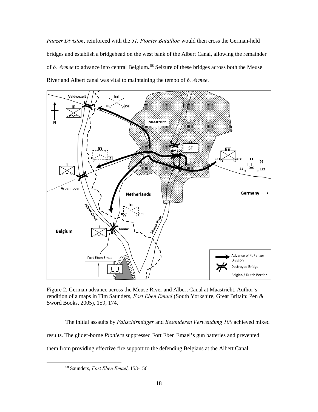*Panzer Division*, reinforced with the *51. Pionier Bataillon* would then cross the German-held bridges and establish a bridgehead on the west bank of the Albert Canal, allowing the remainder of 6. Armee to advance into central Belgium.<sup>58</sup> Seizure of these bridges across both the Meuse River and Albert canal was vital to maintaining the tempo of *6. Armee*.



<span id="page-26-0"></span>Figure 2. German advance across the Meuse River and Albert Canal at Maastricht. Author's rendition of a maps in Tim Saunders, *Fort Eben Emael* (South Yorkshire, Great Britain: Pen & Sword Books, 2005), 159, 174.

The initial assaults by *Fallschirmjäger* and *Besonderen Verwendung 100* achieved mixed results. The glider-borne *Pioniere* suppressed Fort Eben Emael's gun batteries and prevented them from providing effective fire support to the defending Belgians at the Albert Canal

 <sup>58</sup> Saunders, *Fort Eben Emael*, 153-156.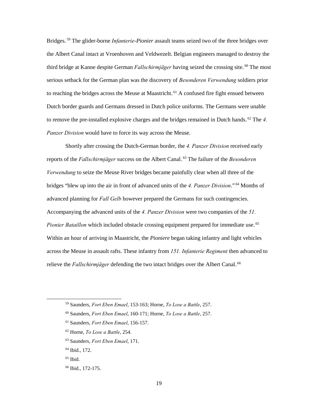Bridges.<sup>59</sup> The glider-borne *Infanterie-Pionier* assault teams seized two of the three bridges over the Albert Canal intact at Vroenhoven and Veldwezelt. Belgian engineers managed to destroy the third bridge at Kanne despite German *Fallschirmjäger* having seized the crossing site.<sup>60</sup> The most serious setback for the German plan was the discovery of *Besonderen Verwendung* soldiers prior to reaching the bridges across the Meuse at Maastricht.<sup>61</sup> A confused fire fight ensued between Dutch border guards and Germans dressed in Dutch police uniforms. The Germans were unable to remove the pre-installed explosive charges and the bridges remained in Dutch hands.<sup>62</sup> The 4. *Panzer Division* would have to force its way across the Meuse.

Shortly after crossing the Dutch-German border, the *4. Panzer Division* received early reports of the *Fallschirmjäger* success on the Albert Canal.<sup>63</sup> The failure of the *Besonderen Verwendung* to seize the Meuse River bridges became painfully clear when all three of the bridges "blew up into the air in front of advanced units of the 4. Panzer Division."<sup>64</sup> Months of advanced planning for *Fall Gelb* however prepared the Germans for such contingencies. Accompanying the advanced units of the *4. Panzer Division* were two companies of the *51.*  Pionier Bataillon which included obstacle crossing equipment prepared for immediate use.<sup>65</sup> Within an hour of arriving in Maastricht, the *Pioniere* began taking infantry and light vehicles across the Meuse in assault rafts. These infantry from *151. Infanterie Regiment* then advanced to relieve the *Fallschirmjäger* defending the two intact bridges over the Albert Canal.<sup>66</sup>

- <sup>62</sup> Horne, *To Lose a Battle*, 254.
- <sup>63</sup> Saunders, *Fort Eben Emael*, 171.
- <sup>64</sup> Ibid., 172.
- $65$  Ibid.
- <sup>66</sup> Ibid., 172-175.

 <sup>59</sup> Saunders, *Fort Eben Emael*, 153-163; Horne, *To Lose a Battle*, 257.

<sup>60</sup> Saunders, *Fort Eben Emael*, 160-171; Horne, *To Lose a Battle*, 257.

<sup>61</sup> Saunders, *Fort Eben Emael*, 156-157.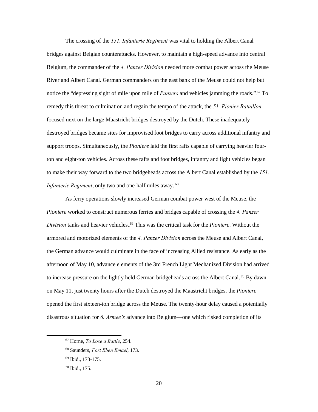The crossing of the *151. Infanterie Regiment* was vital to holding the Albert Canal bridges against Belgian counterattacks. However, to maintain a high-speed advance into central Belgium, the commander of the *4. Panzer Division* needed more combat power across the Meuse River and Albert Canal. German commanders on the east bank of the Meuse could not help but notice the "depressing sight of mile upon mile of *Panzers* and vehicles jamming the roads."<sup>67</sup> To remedy this threat to culmination and regain the tempo of the attack, the *51. Pionier Bataillon* focused next on the large Maastricht bridges destroyed by the Dutch. These inadequately destroyed bridges became sites for improvised foot bridges to carry across additional infantry and support troops. Simultaneously, the *Pioniere* laid the first rafts capable of carrying heavier fourton and eight-ton vehicles. Across these rafts and foot bridges, infantry and light vehicles began to make their way forward to the two bridgeheads across the Albert Canal established by the *151. Infanterie Regiment*, only two and one-half miles away.<sup>68</sup>

As ferry operations slowly increased German combat power west of the Meuse, the *Pioniere* worked to construct numerous ferries and bridges capable of crossing the *4. Panzer*  Division tanks and heavier vehicles.<sup>69</sup> This was the critical task for the *Pioniere*. Without the armored and motorized elements of the *4. Panzer Division* across the Meuse and Albert Canal, the German advance would culminate in the face of increasing Allied resistance. As early as the afternoon of May 10, advance elements of the 3rd French Light Mechanized Division had arrived to increase pressure on the lightly held German bridgeheads across the Albert Canal.<sup>70</sup> By dawn on May 11, just twenty hours after the Dutch destroyed the Maastricht bridges, the *Pioniere* opened the first sixteen-ton bridge across the Meuse. The twenty-hour delay caused a potentially disastrous situation for *6. Armee's* advance into Belgium—one which risked completion of its

 <sup>67</sup> Horne, *To Lose a Battle*, 254.

<sup>68</sup> Saunders, *Fort Eben Emael*, 173.

<sup>69</sup> Ibid., 173-175.

<sup>70</sup> Ibid., 175.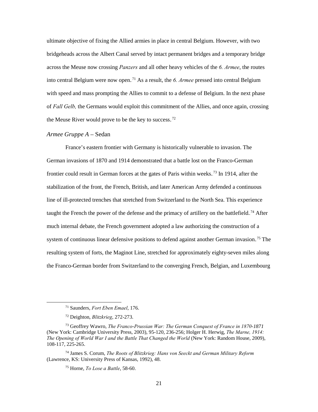ultimate objective of fixing the Allied armies in place in central Belgium. However, with two bridgeheads across the Albert Canal served by intact permanent bridges and a temporary bridge across the Meuse now crossing *Panzers* and all other heavy vehicles of the *6. Armee*, the routes into central Belgium were now open.<sup>71</sup> As a result, the 6. Armee pressed into central Belgium with speed and mass prompting the Allies to commit to a defense of Belgium. In the next phase of *Fall Gelb,* the Germans would exploit this commitment of the Allies, and once again, crossing the Meuse River would prove to be the key to success.<sup>72</sup>

#### <span id="page-29-0"></span>*Armee Gruppe A* – Sedan

France's eastern frontier with Germany is historically vulnerable to invasion. The German invasions of 1870 and 1914 demonstrated that a battle lost on the Franco-German frontier could result in German forces at the gates of Paris within weeks.<sup>73</sup> In 1914, after the stabilization of the front, the French, British, and later American Army defended a continuous line of ill-protected trenches that stretched from Switzerland to the North Sea. This experience taught the French the power of the defense and the primacy of artillery on the battlefield.<sup>74</sup> After much internal debate, the French government adopted a law authorizing the construction of a system of continuous linear defensive positions to defend against another German invasion.<sup>75</sup> The resulting system of forts, the Maginot Line, stretched for approximately eighty-seven miles along the Franco-German border from Switzerland to the converging French, Belgian, and Luxembourg

 <sup>71</sup> Saunders, *Fort Eben Emael*, 176.

<sup>72</sup> Deighton, *Blitzkrieg*, 272-273.

<sup>73</sup> Geoffrey Wawro, *The Franco-Prussian War: The German Conquest of France in 1870-1871* (New York: Cambridge University Press, 2003), 95-120, 236-256; Holger H. Herwig, *The Marne, 1914: The Opening of World War I and the Battle That Changed the World* (New York: Random House, 2009), 108-117, 225-265.

<sup>74</sup> James S. Corum, *The Roots of Blitzkrieg: Hans von Seeckt and German Military Reform* (Lawrence, KS: University Press of Kansas, 1992), 48.

<sup>75</sup> Horne, *To Lose a Battle*, 58-60.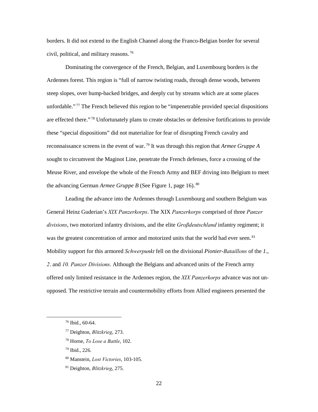borders. It did not extend to the English Channel along the Franco-Belgian border for several civil, political, and military reasons.<sup>76</sup>

Dominating the convergence of the French, Belgian, and Luxembourg borders is the Ardennes forest. This region is "full of narrow twisting roads, through dense woods, between steep slopes, over hump-backed bridges, and deeply cut by streams which are at some places unfordable."<sup>77</sup> The French believed this region to be "impenetrable provided special dispositions are effected there."<sup>78</sup> Unfortunately plans to create obstacles or defensive fortifications to provide these "special dispositions" did not materialize for fear of disrupting French cavalry and reconnaissance screens in the event of war.<sup>79</sup> It was through this region that *Armee Gruppe A* sought to circumvent the Maginot Line, penetrate the French defenses, force a crossing of the Meuse River, and envelope the whole of the French Army and BEF driving into Belgium to meet the advancing German *Armee Gruppe B* (See Figure 1, page 16).<sup>80</sup>

Leading the advance into the Ardennes through Luxembourg and southern Belgium was General Heinz Guderian's *XIX Panzerkorps*. The XIX *Panzerkorps* comprised of three *Panzer divisions*, two motorized infantry divisions, and the elite *Groβdeutschland* infantry regiment; it was the greatest concentration of armor and motorized units that the world had ever seen.<sup>81</sup> Mobility support for this armored *Schwerpunkt* fell on the divisional *Pionier-Bataillons* of the *1*., *2*. and *10. Panzer Divisions*. Although the Belgians and advanced units of the French army offered only limited resistance in the Ardennes region, the *XIX Panzerkorps* advance was not unopposed. The restrictive terrain and countermobility efforts from Allied engineers presented the

<sup>79</sup> Ibid., 226.

 <sup>76</sup> Ibid., 60-64.

<sup>77</sup> Deighton, *Blitzkrieg*, 273.

<sup>78</sup> Horne, *To Lose a Battle*, 102.

<sup>80</sup> Manstein, *Lost Victories*, 103-105.

<sup>81</sup> Deighton, *Blitzkrieg*, 275.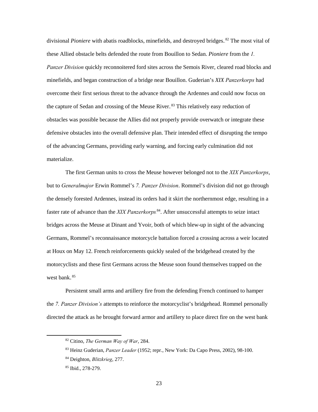divisional *Pioniere* with abatis roadblocks, minefields, and destroyed bridges.<sup>82</sup> The most vital of these Allied obstacle belts defended the route from Bouillon to Sedan. *Pioniere* from the *1. Panzer Division* quickly reconnoitered ford sites across the Semois River, cleared road blocks and minefields, and began construction of a bridge near Bouillon. Guderian's *XIX Panzerkorps* had overcome their first serious threat to the advance through the Ardennes and could now focus on the capture of Sedan and crossing of the Meuse River.<sup>83</sup> This relatively easy reduction of obstacles was possible because the Allies did not properly provide overwatch or integrate these defensive obstacles into the overall defensive plan. Their intended effect of disrupting the tempo of the advancing Germans, providing early warning, and forcing early culmination did not materialize.

The first German units to cross the Meuse however belonged not to the *XIX Panzerkorps*, but to *Generalmajor* Erwin Rommel's *7. Panzer Division*. Rommel's division did not go through the densely forested Ardennes, instead its orders had it skirt the northernmost edge, resulting in a faster rate of advance than the *XIX Panzerkorps*.<sup>84</sup>. After unsuccessful attempts to seize intact bridges across the Meuse at Dinant and Yvoir, both of which blew-up in sight of the advancing Germans, Rommel's reconnaissance motorcycle battalion forced a crossing across a weir located at Houx on May 12. French reinforcements quickly sealed of the bridgehead created by the motorcyclists and these first Germans across the Meuse soon found themselves trapped on the west bank.<sup>85</sup>

Persistent small arms and artillery fire from the defending French continued to hamper the *7. Panzer Division's* attempts to reinforce the motorcyclist's bridgehead. Rommel personally directed the attack as he brought forward armor and artillery to place direct fire on the west bank

 <sup>82</sup> Citino, *The German Way of War*, 284.

<sup>83</sup> Heinz Guderian, *Panzer Leader* (1952; repr., New York: Da Capo Press, 2002), 98-100.

<sup>84</sup> Deighton, *Blitzkrieg*, 277.

<sup>85</sup> Ibid., 278-279.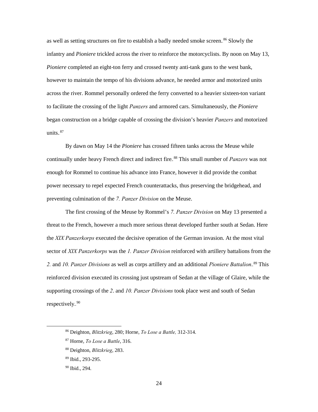as well as setting structures on fire to establish a badly needed smoke screen.<sup>86</sup> Slowly the infantry and *Pioniere* trickled across the river to reinforce the motorcyclists. By noon on May 13, *Pioniere* completed an eight-ton ferry and crossed twenty anti-tank guns to the west bank, however to maintain the tempo of his divisions advance, he needed armor and motorized units across the river. Rommel personally ordered the ferry converted to a heavier sixteen-ton variant to facilitate the crossing of the light *Panzers* and armored cars. Simultaneously, the *Pioniere* began construction on a bridge capable of crossing the division's heavier *Panzers* and motorized units. $87$ 

By dawn on May 14 the *Pioniere* has crossed fifteen tanks across the Meuse while continually under heavy French direct and indirect fire.<sup>88</sup> This small number of *Panzers* was not enough for Rommel to continue his advance into France, however it did provide the combat power necessary to repel expected French counterattacks, thus preserving the bridgehead, and preventing culmination of the *7. Panzer Division* on the Meuse.

The first crossing of the Meuse by Rommel's *7. Panzer Division* on May 13 presented a threat to the French, however a much more serious threat developed further south at Sedan. Here the *XIX Panzerkorps* executed the decisive operation of the German invasion. At the most vital sector of *XIX Panzerkorps* was the *1. Panzer Division* reinforced with artillery battalions from the 2. and 10. Panzer Divisions as well as corps artillery and an additional Pioniere Battalion.<sup>89</sup> This reinforced division executed its crossing just upstream of Sedan at the village of Glaire, while the supporting crossings of the *2*. and *10. Panzer Divisions* took place west and south of Sedan respectively.<sup>90</sup>

 <sup>86</sup> Deighton, *Blitzkrieg*, 280; Horne, *To Lose a Battle,* 312-314.

<sup>87</sup> Horne, *To Lose a Battle*, 316.

<sup>88</sup> Deighton, *Blitzkrieg*, 283.

<sup>89</sup> Ibid., 293-295.

<sup>90</sup> Ibid., 294.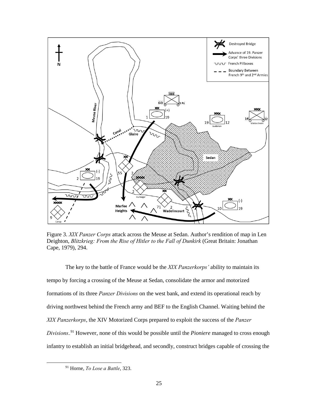

<span id="page-33-0"></span>Figure 3. *XIX Panzer Corps* attack across the Meuse at Sedan. Author's rendition of map in Len Deighton, *Blitzkrieg: From the Rise of Hitler to the Fall of Dunkirk* (Great Britain: Jonathan Cape, 1979), 294.

The key to the battle of France would be the *XIX Panzerkorps'* ability to maintain its tempo by forcing a crossing of the Meuse at Sedan, consolidate the armor and motorized formations of its three *Panzer Divisions* on the west bank, and extend its operational reach by driving northwest behind the French army and BEF to the English Channel. Waiting behind the *XIX Panzerkorps*, the XIV Motorized Corps prepared to exploit the success of the *Panzer*  Divisions.<sup>91</sup> However, none of this would be possible until the *Pioniere* managed to cross enough infantry to establish an initial bridgehead, and secondly, construct bridges capable of crossing the

 <sup>91</sup> Horne, *To Lose a Battle*, 323.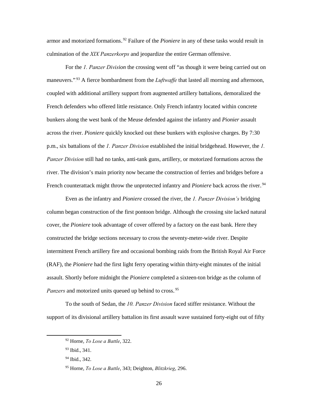armor and motorized formations.<sup>92</sup> Failure of the *Pioniere* in any of these tasks would result in culmination of the *XIX Panzerkorps* and jeopardize the entire German offensive.

For the *1. Panzer Division* the crossing went off "as though it were being carried out on maneuvers."<sup>93</sup> A fierce bombardment from the *Luftwaffe* that lasted all morning and afternoon, coupled with additional artillery support from augmented artillery battalions, demoralized the French defenders who offered little resistance. Only French infantry located within concrete bunkers along the west bank of the Meuse defended against the infantry and *Pionier* assault across the river. *Pioniere* quickly knocked out these bunkers with explosive charges. By 7:30 p.m., six battalions of the *1. Panzer Division* established the initial bridgehead. However, the *1. Panzer Division* still had no tanks, anti-tank guns, artillery, or motorized formations across the river. The division's main priority now became the construction of ferries and bridges before a French counterattack might throw the unprotected infantry and *Pioniere* back across the river.<sup>94</sup>

Even as the infantry and *Pioniere* crossed the river, the *1. Panzer Division's* bridging column began construction of the first pontoon bridge. Although the crossing site lacked natural cover, the *Pioniere* took advantage of cover offered by a factory on the east bank. Here they constructed the bridge sections necessary to cross the seventy-meter-wide river. Despite intermittent French artillery fire and occasional bombing raids from the British Royal Air Force (RAF), the *Pioniere* had the first light ferry operating within thirty-eight minutes of the initial assault. Shortly before midnight the *Pioniere* completed a sixteen-ton bridge as the column of Panzers and motorized units queued up behind to cross.<sup>95</sup>

To the south of Sedan, the *10. Panzer Division* faced stiffer resistance. Without the support of its divisional artillery battalion its first assault wave sustained forty-eight out of fifty

<sup>93</sup> Ibid., 341.

 <sup>92</sup> Horne, *To Lose a Battle*, 322.

<sup>94</sup> Ibid., 342.

<sup>95</sup> Horne, *To Lose a Battle*, 343; Deighton, *Blitzkrieg*, 296.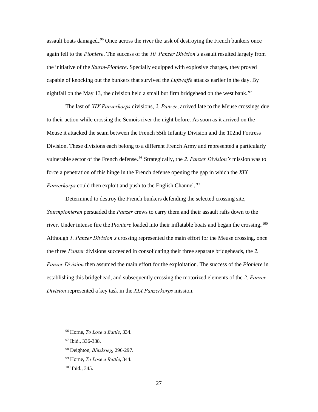assault boats damaged.<sup>96</sup> Once across the river the task of destroying the French bunkers once again fell to the *Pioniere*. The success of the *10. Panzer Division's* assault resulted largely from the initiative of the *Sturm-Pioniere*. Specially equipped with explosive charges, they proved capable of knocking out the bunkers that survived the *Luftwaffe* attacks earlier in the day. By nightfall on the May 13, the division held a small but firm bridgehead on the west bank.<sup>97</sup>

The last of *XIX Panzerkorps* divisions, *2. Panzer*, arrived late to the Meuse crossings due to their action while crossing the Semois river the night before. As soon as it arrived on the Meuse it attacked the seam between the French 55th Infantry Division and the 102nd Fortress Division. These divisions each belong to a different French Army and represented a particularly vulnerable sector of the French defense.<sup>98</sup> Strategically, the 2. Panzer Division's mission was to force a penetration of this hinge in the French defense opening the gap in which the *XIX*  Panzerkorps could then exploit and push to the English Channel.<sup>99</sup>

Determined to destroy the French bunkers defending the selected crossing site, *Sturmpionieren* persuaded the *Panzer* crews to carry them and their assault rafts down to the river. Under intense fire the *Pioniere* loaded into their inflatable boats and began the crossing.<sup>100</sup> Although *1. Panzer Division's* crossing represented the main effort for the Meuse crossing, once the three *Panzer* divisions succeeded in consolidating their three separate bridgeheads, the *2. Panzer Division* then assumed the main effort for the exploitation. The success of the *Pioniere* in establishing this bridgehead, and subsequently crossing the motorized elements of the *2. Panzer Division* represented a key task in the *XIX Panzerkorps* mission.

 <sup>96</sup> Horne, *To Lose a Battle*, 334.

<sup>97</sup> Ibid., 336-338.

<sup>98</sup> Deighton, *Blitzkrieg*, 296-297.

<sup>99</sup> Horne, *To Lose a Battle*, 344.

<sup>100</sup> Ibid., 345.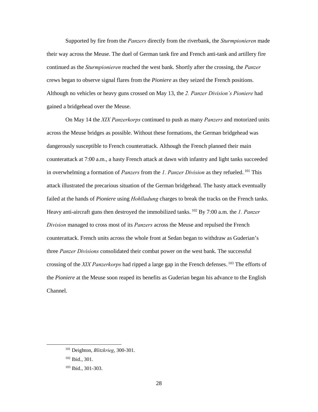Supported by fire from the *Panzers* directly from the riverbank, the *Sturmpionieren* made their way across the Meuse. The duel of German tank fire and French anti-tank and artillery fire continued as the *Sturmpionieren* reached the west bank. Shortly after the crossing, the *Panzer* crews began to observe signal flares from the *Pioniere* as they seized the French positions. Although no vehicles or heavy guns crossed on May 13, the *2. Panzer Division's Pioniere* had gained a bridgehead over the Meuse.

On May 14 the *XIX Panzerkorps* continued to push as many *Panzers* and motorized units across the Meuse bridges as possible. Without these formations, the German bridgehead was dangerously susceptible to French counterattack. Although the French planned their main counterattack at 7:00 a.m., a hasty French attack at dawn with infantry and light tanks succeeded in overwhelming a formation of *Panzers* from the *1. Panzer Division* as they refueled.<sup>101</sup> This attack illustrated the precarious situation of the German bridgehead. The hasty attack eventually failed at the hands of *Pioniere* using *Hohlladung* charges to break the tracks on the French tanks. Heavy anti-aircraft guns then destroyed the immobilized tanks.<sup>102</sup> By 7:00 a.m. the *1. Panzer Division* managed to cross most of its *Panzers* across the Meuse and repulsed the French counterattack. French units across the whole front at Sedan began to withdraw as Guderian's three *Panzer Divisions* consolidated their combat power on the west bank. The successful crossing of the *XIX Panzerkorps* had ripped a large gap in the French defenses.<sup>103</sup> The efforts of the *Pioniere* at the Meuse soon reaped its benefits as Guderian began his advance to the English Channel.

 <sup>101</sup> Deighton, *Blitzkrieg*, 300-301.

<sup>102</sup> Ibid., 301.

<sup>103</sup> Ibid., 301-303.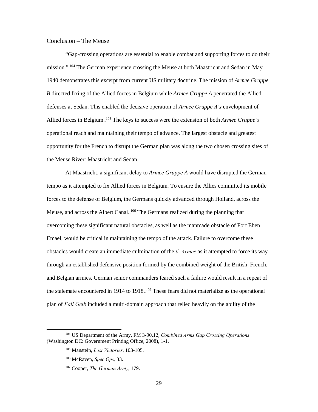#### <span id="page-37-0"></span>Conclusion – The Meuse

"Gap-crossing operations are essential to enable combat and supporting forces to do their mission."<sup>104</sup> The German experience crossing the Meuse at both Maastricht and Sedan in May 1940 demonstrates this excerpt from current US military doctrine. The mission of *Armee Gruppe B* directed fixing of the Allied forces in Belgium while *Armee Gruppe A* penetrated the Allied defenses at Sedan. This enabled the decisive operation of *Armee Gruppe A's* envelopment of Allied forces in Belgium.<sup>105</sup> The keys to success were the extension of both *Armee Gruppe*'s operational reach and maintaining their tempo of advance. The largest obstacle and greatest opportunity for the French to disrupt the German plan was along the two chosen crossing sites of the Meuse River: Maastricht and Sedan.

At Maastricht, a significant delay to *Armee Gruppe A* would have disrupted the German tempo as it attempted to fix Allied forces in Belgium. To ensure the Allies committed its mobile forces to the defense of Belgium, the Germans quickly advanced through Holland, across the Meuse, and across the Albert Canal.<sup>106</sup> The Germans realized during the planning that overcoming these significant natural obstacles, as well as the manmade obstacle of Fort Eben Emael, would be critical in maintaining the tempo of the attack. Failure to overcome these obstacles would create an immediate culmination of the *6. Armee* as it attempted to force its way through an established defensive position formed by the combined weight of the British, French, and Belgian armies. German senior commanders feared such a failure would result in a repeat of the stalemate encountered in 1914 to 1918. $107$  These fears did not materialize as the operational plan of *Fall Gelb* included a multi-domain approach that relied heavily on the ability of the

 <sup>104</sup> US Department of the Army, FM 3-90.12, *Combined Arms Gap Crossing Operations* (Washington DC: Government Printing Office, 2008), 1-1.

<sup>105</sup> Manstein, *Lost Victories*, 103-105.

<sup>106</sup> McRaven, *Spec Ops,* 33.

<sup>107</sup> Cooper, *The German Army*, 179.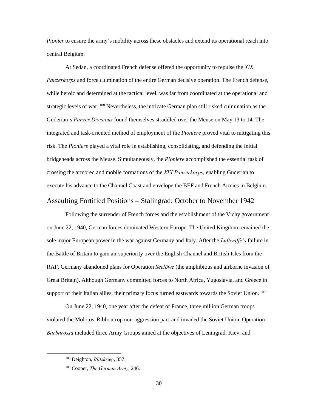*Pionier* to ensure the army's mobility across these obstacles and extend its operational reach into central Belgium.

At Sedan, a coordinated French defense offered the opportunity to repulse the *XIX Panzerkorps* and force culmination of the entire German decisive operation. The French defense, while heroic and determined at the tactical level, was far from coordinated at the operational and strategic levels of war. <sup>108</sup> Nevertheless, the intricate German plan still risked culmination as the Guderian's *Panzer Divisions* found themselves straddled over the Meuse on May 13 to 14. The integrated and task-oriented method of employment of the *Pioniere* proved vital to mitigating this risk. The *Pioniere* played a vital role in establishing, consolidating, and defending the initial bridgeheads across the Meuse. Simultaneously, the *Pioniere* accomplished the essential task of crossing the armored and mobile formations of the *XIX Panzerkorps*, enabling Guderian to execute his advance to the Channel Coast and envelope the BEF and French Armies in Belgium.

### <span id="page-38-0"></span>Assaulting Fortified Positions – Stalingrad: October to November 1942

Following the surrender of French forces and the establishment of the Vichy government on June 22, 1940, German forces dominated Western Europe. The United Kingdom remained the sole major European power in the war against Germany and Italy. After the *Luftwaffe's* failure in the Battle of Britain to gain air superiority over the English Channel and British Isles from the RAF, Germany abandoned plans for Operation *Seelӧwe* (the amphibious and airborne invasion of Great Britain). Although Germany committed forces to North Africa, Yugoslavia, and Greece in support of their Italian allies, their primary focus turned eastwards towards the Soviet Union.<sup>109</sup>

On June 22, 1940, one year after the defeat of France, three million German troops violated the Molotov-Ribbontrop non-aggression pact and invaded the Soviet Union. Operation *Barbarossa* included three Army Groups aimed at the objectives of Leningrad, Kiev, and

 <sup>108</sup> Deighton, *Blitzkrieg*, 357.

<sup>109</sup> Cooper, *The German Army*, 246.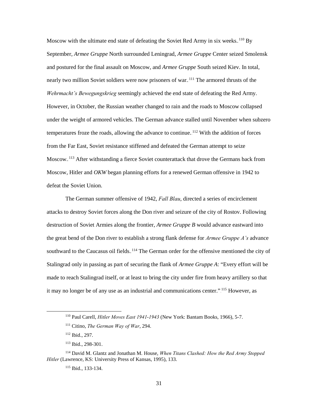Moscow with the ultimate end state of defeating the Soviet Red Army in six weeks. $110$  By September, *Armee Gruppe* North surrounded Leningrad, *Armee Gruppe* Center seized Smolensk and postured for the final assault on Moscow, and *Armee Gruppe* South seized Kiev. In total, nearly two million Soviet soldiers were now prisoners of war.<sup>111</sup> The armored thrusts of the *Wehrmacht's Bewegungskrieg* seemingly achieved the end state of defeating the Red Army. However, in October, the Russian weather changed to rain and the roads to Moscow collapsed under the weight of armored vehicles. The German advance stalled until November when subzero temperatures froze the roads, allowing the advance to continue.<sup>112</sup> With the addition of forces from the Far East, Soviet resistance stiffened and defeated the German attempt to seize Moscow.<sup>113</sup> After withstanding a fierce Soviet counterattack that drove the Germans back from Moscow, Hitler and *OKW* began planning efforts for a renewed German offensive in 1942 to defeat the Soviet Union.

The German summer offensive of 1942, *Fall Blau*, directed a series of encirclement attacks to destroy Soviet forces along the Don river and seizure of the city of Rostov. Following destruction of Soviet Armies along the frontier, *Armee Gruppe B* would advance eastward into the great bend of the Don river to establish a strong flank defense for *Armee Gruppe A's* advance southward to the Caucasus oil fields. <sup>114</sup> The German order for the offensive mentioned the city of Stalingrad only in passing as part of securing the flank of *Armee Gruppe A*: "Every effort will be made to reach Stalingrad itself, or at least to bring the city under fire from heavy artillery so that it may no longer be of any use as an industrial and communications center." <sup>115</sup> However, as

 <sup>110</sup> Paul Carell, *Hitler Moves East 1941-<sup>1943</sup>* (New York: Bantam Books, 1966), 5-7.

<sup>111</sup> Citino, *The German Way of War*, 294.

<sup>112</sup> Ibid., 297.

<sup>113</sup> Ibid., 298-301.

<sup>114</sup> David M. Glantz and Jonathan M. House, *When Titans Clashed: How the Red Army Stopped Hitler* (Lawrence, KS: University Press of Kansas, 1995), 133.

<sup>115</sup> Ibid., 133-134.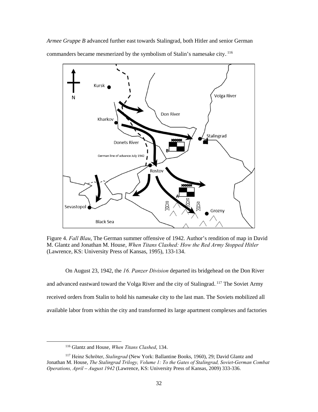*Armee Gruppe B* advanced further east towards Stalingrad, both Hitler and senior German commanders became mesmerized by the symbolism of Stalin's namesake city.<sup>116</sup>



<span id="page-40-0"></span>Figure 4. *Fall Blau*, The German summer offensive of 1942. Author's rendition of map in David M. Glantz and Jonathan M. House, *When Titans Clashed: How the Red Army Stopped Hitler* (Lawrence, KS: University Press of Kansas, 1995), 133-134.

On August 23, 1942, the *16. Panzer Division* departed its bridgehead on the Don River and advanced eastward toward the Volga River and the city of Stalingrad.<sup>117</sup> The Soviet Army received orders from Stalin to hold his namesake city to the last man. The Soviets mobilized all available labor from within the city and transformed its large apartment complexes and factories

 <sup>116</sup> Glantz and House, *When Titans Clashed*, 134.

<sup>117</sup> Heinz Schrӧter, *Stalingrad* (New York: Ballantine Books, 1960), 29; David Glantz and Jonathan M. House, *The Stalingrad Trilogy, Volume 1: To the Gates of Stalingrad, Soviet-German Combat Operations, April – August 1942* (Lawrence, KS: University Press of Kansas, 2009) 333-336.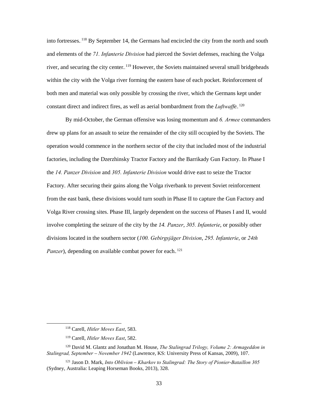into fortresses. <sup>118</sup> By September 14, the Germans had encircled the city from the north and south and elements of the *71. Infanterie Division* had pierced the Soviet defenses, reaching the Volga river, and securing the city center. <sup>119</sup> However, the Soviets maintained several small bridgeheads within the city with the Volga river forming the eastern base of each pocket. Reinforcement of both men and material was only possible by crossing the river, which the Germans kept under constant direct and indirect fires, as well as aerial bombardment from the *Luftwaffe*.<sup>120</sup>

By mid-October, the German offensive was losing momentum and *6. Armee* commanders drew up plans for an assault to seize the remainder of the city still occupied by the Soviets. The operation would commence in the northern sector of the city that included most of the industrial factories, including the Dzerzhinsky Tractor Factory and the Barrikady Gun Factory. In Phase I the *14. Panzer Division* and *305. Infanterie Division* would drive east to seize the Tractor Factory. After securing their gains along the Volga riverbank to prevent Soviet reinforcement from the east bank, these divisions would turn south in Phase II to capture the Gun Factory and Volga River crossing sites. Phase III, largely dependent on the success of Phases I and II, would involve completing the seizure of the city by the *14. Panzer*, *305. Infanterie*, or possibly other divisions located in the southern sector (*100. Gebirgsjäger Division*, *295. Infanterie*, or *24th*  Panzer), depending on available combat power for each.<sup>121</sup>

 <sup>118</sup> Carell, *Hitler Moves East*, 583.

<sup>119</sup> Carell, *Hitler Moves East*, 582.

<sup>120</sup> David M. Glantz and Jonathan M. House, *The Stalingrad Trilogy, Volume 2: Armageddon in Stalingrad, September – November 1942* (Lawrence, KS: University Press of Kansas, 2009), 107.

<sup>121</sup> Jason D. Mark, *Into Oblivion – Kharkov to Stalingrad: The Story of Pionier-Bataillon 305* (Sydney, Australia: Leaping Horseman Books, 2013), 328.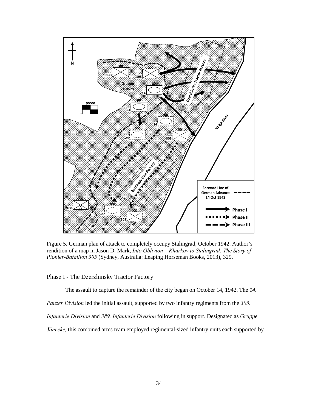

<span id="page-42-1"></span>Figure 5. German plan of attack to completely occupy Stalingrad, October 1942. Author's rendition of a map in Jason D. Mark, *Into Oblivion – Kharkov to Stalingrad: The Story of Pionier-Bataillon 305* (Sydney, Australia: Leaping Horseman Books, 2013), 329.

<span id="page-42-0"></span>Phase I - The Dzerzhinsky Tractor Factory

The assault to capture the remainder of the city began on October 14, 1942. The *14.*

*Panzer Division* led the initial assault, supported by two infantry regiments from the *305.* 

*Infanterie Division* and *389. Infanterie Division* following in support. Designated as *Gruppe* 

*Jänecke,* this combined arms team employed regimental-sized infantry units each supported by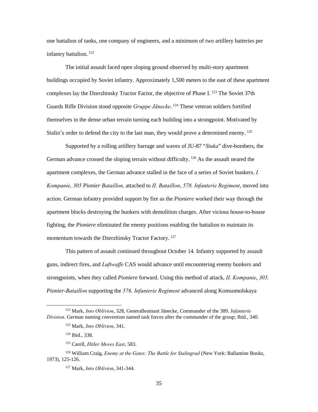one battalion of tanks, one company of engineers, and a minimum of two artillery batteries per infantry battalion.<sup>122</sup>

The initial assault faced open sloping ground observed by multi-story apartment buildings occupied by Soviet infantry. Approximately 1,500 meters to the east of these apartment complexes lay the Dzerzhinsky Tractor Factor, the objective of Phase I. <sup>123</sup> The Soviet 37th Guards Rifle Division stood opposite *Gruppe Jänecke*.<sup>124</sup> These veteran soldiers fortified themselves in the dense urban terrain turning each building into a strongpoint. Motivated by Stalin's order to defend the city to the last man, they would prove a determined enemy.<sup>125</sup>

Supported by a rolling artillery barrage and waves of JU-87 "*Stuka*" dive-bombers, the German advance crossed the sloping terrain without difficulty.<sup>126</sup> As the assault neared the apartment complexes, the German advance stalled in the face of a series of Soviet bunkers. *I. Kompanie, 305 Pionier Bataillon,* attached to *II. Bataillon*, *578. Infanterie Regiment*, moved into action. German infantry provided support by fire as the *Pioniere* worked their way through the apartment blocks destroying the bunkers with demolition charges. After vicious house-to-house fighting, the *Pioniere* eliminated the enemy positions enabling the battalion to maintain its momentum towards the Dzerzhinsky Tractor Factory..<sup>127</sup>

This pattern of assault continued throughout October 14. Infantry supported by assault guns, indirect fires, and *Luftwaffe* CAS would advance until encountering enemy bunkers and strongpoints, when they called *Pioniere* forward. Using this method of attack, *II. Kompanie*, *305. Pionier-Bataillon* supporting the *576. Infanterie Regiment* advanced along Komsomolskaya

 <sup>122</sup> Mark, *Into Oblivion*, 328, Generalleutnant Jänecke, Commander of the 389. *Infanterie Division*. German naming convention named task forces after the commander of the group; Ibid., 340.

<sup>123</sup> Mark, *Into Oblivion*, 341.

<sup>124</sup> Ibid., 338.

<sup>125</sup> Carell, *Hitler Moves East*, 583.

<sup>126</sup> William Craig, *Enemy at the Gates: The Battle for Stalingrad* (New York: Ballantine Books, 1973), 125-126.

<sup>127</sup> Mark, *Into Oblivion*, 341-344.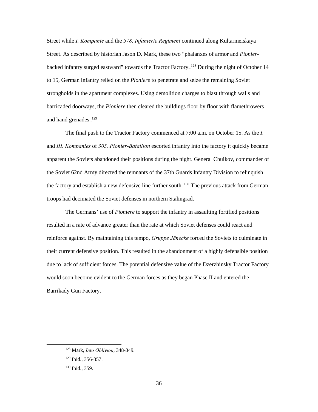Street while *I. Kompanie* and the *578. Infanterie Regiment* continued along Kultarmeiskaya Street. As described by historian Jason D. Mark, these two "phalanxes of armor and *Pionier*backed infantry surged eastward" towards the Tractor Factory.<sup>128</sup> During the night of October 14 to 15, German infantry relied on the *Pioniere* to penetrate and seize the remaining Soviet strongholds in the apartment complexes. Using demolition charges to blast through walls and barricaded doorways, the *Pioniere* then cleared the buildings floor by floor with flamethrowers and hand grenades.<sup>129</sup>

The final push to the Tractor Factory commenced at 7:00 a.m. on October 15. As the *I.* and *III. Kompanies* of *305. Pionier-Bataillon* escorted infantry into the factory it quickly became apparent the Soviets abandoned their positions during the night. General Chuikov, commander of the Soviet 62nd Army directed the remnants of the 37th Guards Infantry Division to relinquish the factory and establish a new defensive line further south.<sup>130</sup> The previous attack from German troops had decimated the Soviet defenses in northern Stalingrad.

The Germans' use of *Pioniere* to support the infantry in assaulting fortified positions resulted in a rate of advance greater than the rate at which Soviet defenses could react and reinforce against. By maintaining this tempo, *Gruppe Jänecke* forced the Soviets to culminate in their current defensive position. This resulted in the abandonment of a highly defensible position due to lack of sufficient forces. The potential defensive value of the Dzerzhinsky Tractor Factory would soon become evident to the German forces as they began Phase II and entered the Barrikady Gun Factory.

 <sup>128</sup> Mark, *Into Oblivion*, 348-349.

<sup>129</sup> Ibid., 356-357.

<sup>130</sup> Ibid., 359.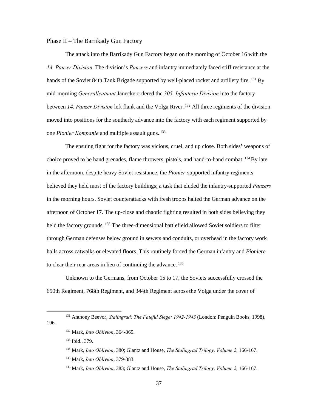#### <span id="page-45-0"></span>Phase II – The Barrikady Gun Factory

The attack into the Barrikady Gun Factory began on the morning of October 16 with the *14. Panzer Division.* The division's *Panzers* and infantry immediately faced stiff resistance at the hands of the Soviet 84th Tank Brigade supported by well-placed rocket and artillery fire. <sup>131</sup> By mid-morning *Generalleutnant* Jänecke ordered the *305. Infanterie Division* into the factory between 14. Panzer Division left flank and the Volga River.<sup>132</sup> All three regiments of the division moved into positions for the southerly advance into the factory with each regiment supported by one *Pionier Kompanie* and multiple assault guns.<sup>133</sup>

The ensuing fight for the factory was vicious, cruel, and up close. Both sides' weapons of choice proved to be hand grenades, flame throwers, pistols, and hand-to-hand combat.<sup>134</sup> By late in the afternoon, despite heavy Soviet resistance, the *Pionier*-supported infantry regiments believed they held most of the factory buildings; a task that eluded the infantry-supported *Panzers* in the morning hours. Soviet counterattacks with fresh troops halted the German advance on the afternoon of October 17. The up-close and chaotic fighting resulted in both sides believing they held the factory grounds.<sup>135</sup> The three-dimensional battlefield allowed Soviet soldiers to filter through German defenses below ground in sewers and conduits, or overhead in the factory work halls across catwalks or elevated floors. This routinely forced the German infantry and *Pioniere* to clear their rear areas in lieu of continuing the advance. $136$ 

Unknown to the Germans, from October 15 to 17, the Soviets successfully crossed the 650th Regiment, 768th Regiment, and 344th Regiment across the Volga under the cover of

 <sup>131</sup> Anthony Beevor, *Stalingrad: The Fateful Siege: 1942-<sup>1943</sup>* (London: Penguin Books, 1998), 196.

<sup>132</sup> Mark, *Into Oblivion*, 364-365.

<sup>133</sup> Ibid., 379.

<sup>134</sup> Mark, *Into Oblivion*, 380; Glantz and House, *The Stalingrad Trilogy, Volume 2,* 166-167.

<sup>135</sup> Mark, *Into Oblivion*, 379-383.

<sup>136</sup> Mark, *Into Oblivion*, 383; Glantz and House, *The Stalingrad Trilogy, Volume 2,* 166-167.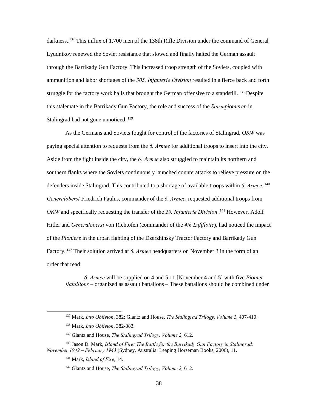darkness.<sup>137</sup> This influx of 1,700 men of the 138th Rifle Division under the command of General Lyudnikov renewed the Soviet resistance that slowed and finally halted the German assault through the Barrikady Gun Factory. This increased troop strength of the Soviets, coupled with ammunition and labor shortages of the *305. Infanterie Division* resulted in a fierce back and forth struggle for the factory work halls that brought the German offensive to a standstill.<sup>138</sup> Despite this stalemate in the Barrikady Gun Factory, the role and success of the *Sturmpionieren* in Stalingrad had not gone unnoticed.<sup>139</sup>

As the Germans and Soviets fought for control of the factories of Stalingrad, *OKW* was paying special attention to requests from the *6. Armee* for additional troops to insert into the city. Aside from the fight inside the city, the *6. Armee* also struggled to maintain its northern and southern flanks where the Soviets continuously launched counterattacks to relieve pressure on the defenders inside Stalingrad. This contributed to a shortage of available troops within 6. Armee.<sup>140</sup> *Generaloberst* Friedrich Paulus, commander of the *6. Armee*, requested additional troops from *OKW* and specifically requesting the transfer of the 29. Infanterie Division <sup>141</sup> However, Adolf Hitler and *Generaloberst* von Richtofen (commander of the *4th Luftflotte*), had noticed the impact of the *Pioniere* in the urban fighting of the Dzerzhinsky Tractor Factory and Barrikady Gun Factory.<sup>142</sup> Their solution arrived at 6. Armee headquarters on November 3 in the form of an order that read:

*6. Armee* will be supplied on 4 and 5.11 [November 4 and 5] with five *Pionier-Bataillons* – organized as assault battalions – These battalions should be combined under

 <sup>137</sup> Mark, *Into Oblivion*, 382; Glantz and House, *The Stalingrad Trilogy, Volume 2,* 407-410.

<sup>138</sup> Mark, *Into Oblivion*, 382-383.

<sup>139</sup> Glantz and House, *The Stalingrad Trilogy, Volume 2,* 612.

<sup>140</sup> Jason D. Mark, *Island of Fire: The Battle for the Barrikady Gun Factory in Stalingrad: November 1942 – February 1943* (Sydney, Australia: Leaping Horseman Books, 2006), 11.

<sup>141</sup> Mark, *Island of Fire*, 14.

<sup>142</sup> Glantz and House, *The Stalingrad Trilogy, Volume 2,* 612.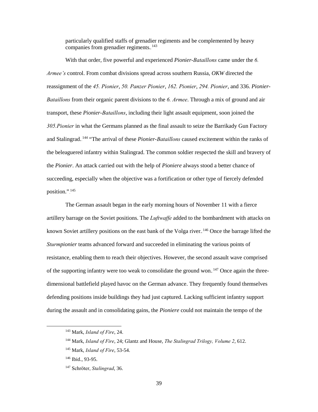particularly qualified staffs of grenadier regiments and be complemented by heavy companies from grenadier regiments. $143$ 

With that order, five powerful and experienced *Pionier-Bataillons* came under the *6. Armee's* control. From combat divisions spread across southern Russia, *OKW* directed the reassignment of the *45. Pionier*, *50. Panzer Pionier*, *162. Pionier*, *294. Pionier*, and 336. *Pionier-Bataillons* from their organic parent divisions to the *6. Armee*. Through a mix of ground and air transport, these *Pionier-Bataillons*, including their light assault equipment, soon joined the *305.Pionier* in what the Germans planned as the final assault to seize the Barrikady Gun Factory and Stalingrad.<sup>144</sup> "The arrival of these *Pionier-Bataillons* caused excitement within the ranks of the beleaguered infantry within Stalingrad. The common soldier respected the skill and bravery of the *Pionier*. An attack carried out with the help of *Pioniere* always stood a better chance of succeeding, especially when the objective was a fortification or other type of fiercely defended position.".<sup>145</sup>

The German assault began in the early morning hours of November 11 with a fierce artillery barrage on the Soviet positions. The *Luftwaffe* added to the bombardment with attacks on known Soviet artillery positions on the east bank of the Volga river. <sup>146</sup> Once the barrage lifted the *Sturmpionier* teams advanced forward and succeeded in eliminating the various points of resistance, enabling them to reach their objectives. However, the second assault wave comprised of the supporting infantry were too weak to consolidate the ground won.<sup>147</sup> Once again the threedimensional battlefield played havoc on the German advance. They frequently found themselves defending positions inside buildings they had just captured. Lacking sufficient infantry support during the assault and in consolidating gains, the *Pioniere* could not maintain the tempo of the

 <sup>143</sup> Mark, *Island of Fire*, 24.

<sup>144</sup> Mark, *Island of Fire*, 24; Glantz and House, *The Stalingrad Trilogy, Volume 2*, 612.

<sup>145</sup> Mark, *Island of Fire*, 53-54.

<sup>146</sup> Ibid., 93-95.

<sup>147</sup> Schrӧter, *Stalingrad*, 36.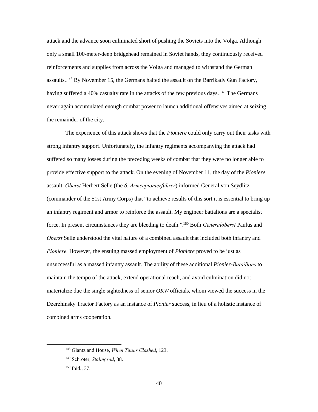attack and the advance soon culminated short of pushing the Soviets into the Volga. Although only a small 100-meter-deep bridgehead remained in Soviet hands, they continuously received reinforcements and supplies from across the Volga and managed to withstand the German assaults.<sup>148</sup> By November 15, the Germans halted the assault on the Barrikady Gun Factory, having suffered a 40% casualty rate in the attacks of the few previous days. <sup>149</sup> The Germans never again accumulated enough combat power to launch additional offensives aimed at seizing the remainder of the city.

The experience of this attack shows that the *Pioniere* could only carry out their tasks with strong infantry support. Unfortunately, the infantry regiments accompanying the attack had suffered so many losses during the preceding weeks of combat that they were no longer able to provide effective support to the attack. On the evening of November 11, the day of the *Pioniere* assault, *Oberst* Herbert Selle (the *6. Armeepionierführer*) informed General von Seydlitz (commander of the 51st Army Corps) that "to achieve results of this sort it is essential to bring up an infantry regiment and armor to reinforce the assault. My engineer battalions are a specialist force. In present circumstances they are bleeding to death."<sup>150</sup> Both *Generaloberst* Paulus and *Oberst* Selle understood the vital nature of a combined assault that included both infantry and *Pioniere.* However, the ensuing massed employment of *Pioniere* proved to be just as unsuccessful as a massed infantry assault. The ability of these additional *Pionier-Bataillons* to maintain the tempo of the attack, extend operational reach, and avoid culmination did not materialize due the single sightedness of senior *OKW* officials, whom viewed the success in the Dzerzhinsky Tractor Factory as an instance of *Pionier* success, in lieu of a holistic instance of combined arms cooperation.

 <sup>148</sup> Glantz and House, *When Titans Clashed*, 123.

<sup>149</sup> Schrӧter, *Stalingrad*, 38.

<sup>150</sup> Ibid., 37.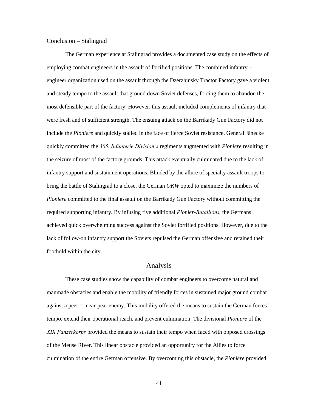#### <span id="page-49-0"></span>Conclusion – Stalingrad

The German experience at Stalingrad provides a documented case study on the effects of employing combat engineers in the assault of fortified positions. The combined infantry – engineer organization used on the assault through the Dzerzhinsky Tractor Factory gave a violent and steady tempo to the assault that ground down Soviet defenses, forcing them to abandon the most defensible part of the factory. However, this assault included complements of infantry that were fresh and of sufficient strength. The ensuing attack on the Barrikady Gun Factory did not include the *Pioniere* and quickly stalled in the face of fierce Soviet resistance. General Jänecke quickly committed the *305. Infanterie Division's* regiments augmented with *Pioniere* resulting in the seizure of most of the factory grounds. This attack eventually culminated due to the lack of infantry support and sustainment operations. Blinded by the allure of specialty assault troops to bring the battle of Stalingrad to a close, the German *OKW* opted to maximize the numbers of *Pioniere* committed to the final assault on the Barrikady Gun Factory without committing the required supporting infantry. By infusing five additional *Pionier-Bataillons*, the Germans achieved quick overwhelming success against the Soviet fortified positions. However, due to the lack of follow-on infantry support the Soviets repulsed the German offensive and retained their foothold within the city.

## Analysis

<span id="page-49-1"></span>These case studies show the capability of combat engineers to overcome natural and manmade obstacles and enable the mobility of friendly forces in sustained major ground combat against a peer or near-pear enemy. This mobility offered the means to sustain the German forces' tempo, extend their operational reach, and prevent culmination. The divisional *Pioniere* of the *XIX Panzerkorps* provided the means to sustain their tempo when faced with opposed crossings of the Meuse River. This linear obstacle provided an opportunity for the Allies to force culmination of the entire German offensive. By overcoming this obstacle, the *Pioniere* provided

41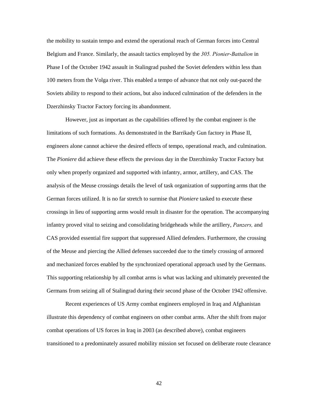the mobility to sustain tempo and extend the operational reach of German forces into Central Belgium and France. Similarly, the assault tactics employed by the *305. Pionier-Battalion* in Phase I of the October 1942 assault in Stalingrad pushed the Soviet defenders within less than 100 meters from the Volga river. This enabled a tempo of advance that not only out-paced the Soviets ability to respond to their actions, but also induced culmination of the defenders in the Dzerzhinsky Tractor Factory forcing its abandonment.

However, just as important as the capabilities offered by the combat engineer is the limitations of such formations. As demonstrated in the Barrikady Gun factory in Phase II, engineers alone cannot achieve the desired effects of tempo, operational reach, and culmination. The *Pioniere* did achieve these effects the previous day in the Dzerzhinsky Tractor Factory but only when properly organized and supported with infantry, armor, artillery, and CAS. The analysis of the Meuse crossings details the level of task organization of supporting arms that the German forces utilized. It is no far stretch to surmise that *Pioniere* tasked to execute these crossings in lieu of supporting arms would result in disaster for the operation. The accompanying infantry proved vital to seizing and consolidating bridgeheads while the artillery, *Panzers,* and CAS provided essential fire support that suppressed Allied defenders. Furthermore, the crossing of the Meuse and piercing the Allied defenses succeeded due to the timely crossing of armored and mechanized forces enabled by the synchronized operational approach used by the Germans. This supporting relationship by all combat arms is what was lacking and ultimately prevented the Germans from seizing all of Stalingrad during their second phase of the October 1942 offensive.

Recent experiences of US Army combat engineers employed in Iraq and Afghanistan illustrate this dependency of combat engineers on other combat arms. After the shift from major combat operations of US forces in Iraq in 2003 (as described above), combat engineers transitioned to a predominately assured mobility mission set focused on deliberate route clearance

42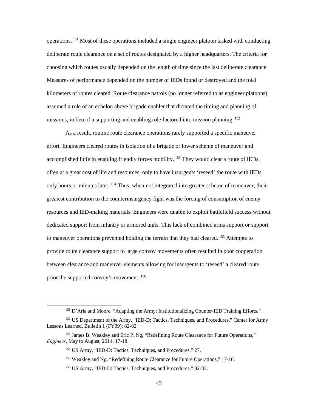operations.<sup>151</sup> Most of these operations included a single engineer platoon tasked with conducting deliberate route clearance on a set of routes designated by a higher headquarters. The criteria for choosing which routes usually depended on the length of time since the last deliberate clearance. Measures of performance depended on the number of IEDs found or destroyed and the total kilometers of routes cleared. Route clearance patrols (no longer referred to as engineer platoons) assumed a role of an echelon above brigade enabler that dictated the timing and planning of missions, in lieu of a supporting and enabling role factored into mission planning.<sup>152</sup>

As a result, routine route clearance operations rarely supported a specific maneuver effort. Engineers cleared routes in isolation of a brigade or lower scheme of maneuver and accomplished little in enabling friendly forces mobility.<sup>153</sup> They would clear a route of IEDs, often at a great cost of life and resources, only to have insurgents 'reseed' the route with IEDs only hours or minutes later. <sup>154</sup> Thus, when not integrated into greater scheme of maneuver, their greatest contribution to the counterinsurgency fight was the forcing of consumption of enemy resources and IED-making materials. Engineers were unable to exploit battlefield success without dedicated support from infantry or armored units. This lack of combined arms support or support to maneuver operations prevented holding the terrain that they had cleared.<sup>155</sup> Attempts to provide route clearance support to large convoy movements often resulted in poor cooperation between clearance and maneuver elements allowing for insurgents to 'reseed' a cleared route prior the supported convoy's movement.<sup>156</sup>

<sup>&</sup>lt;sup>151</sup> D'Aria and Moore, "Adapting the Army: Institutionalizing Counter-IED Training Efforts."

<sup>&</sup>lt;sup>152</sup> US Department of the Army, "IED-D: Tactics, Techniques, and Procedures," Center for Army Lessons Learned, Bulletin 1 (FY09): 82-82.

<sup>&</sup>lt;sup>153</sup> James B. Weakley and Eric P. Ng, "Redefining Route Clearance for Future Operations," *Engineer*, May to August, 2014, 17-18.

<sup>154</sup> US Army, "IED-D: Tactics, Techniques, and Procedures," 27.

<sup>&</sup>lt;sup>155</sup> Weakley and Ng, "Redefining Route Clearance for Future Operations," 17-18.

<sup>156</sup> US Army, "IED-D: Tactics, Techniques, and Procedures," 82-83.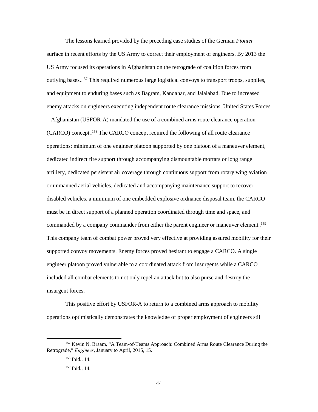The lessons learned provided by the preceding case studies of the German *Pionier* surface in recent efforts by the US Army to correct their employment of engineers. By 2013 the US Army focused its operations in Afghanistan on the retrograde of coalition forces from outlying bases.<sup>157</sup> This required numerous large logistical convoys to transport troops, supplies, and equipment to enduring bases such as Bagram, Kandahar, and Jalalabad. Due to increased enemy attacks on engineers executing independent route clearance missions, United States Forces – Afghanistan (USFOR-A) mandated the use of a combined arms route clearance operation (CARCO) concept.<sup>158</sup> The CARCO concept required the following of all route clearance operations; minimum of one engineer platoon supported by one platoon of a maneuver element, dedicated indirect fire support through accompanying dismountable mortars or long range artillery, dedicated persistent air coverage through continuous support from rotary wing aviation or unmanned aerial vehicles, dedicated and accompanying maintenance support to recover disabled vehicles, a minimum of one embedded explosive ordnance disposal team, the CARCO must be in direct support of a planned operation coordinated through time and space, and commanded by a company commander from either the parent engineer or maneuver element.<sup>159</sup> This company team of combat power proved very effective at providing assured mobility for their supported convoy movements. Enemy forces proved hesitant to engage a CARCO. A single engineer platoon proved vulnerable to a coordinated attack from insurgents while a CARCO included all combat elements to not only repel an attack but to also purse and destroy the insurgent forces.

This positive effort by USFOR-A to return to a combined arms approach to mobility operations optimistically demonstrates the knowledge of proper employment of engineers still

<sup>&</sup>lt;sup>157</sup> Kevin N. Braam, "A Team-of-Teams Approach: Combined Arms Route Clearance During the Retrograde," *Engineer*, January to April, 2015, 15.

 $158$  Ibid., 14.

<sup>159</sup> Ibid., 14.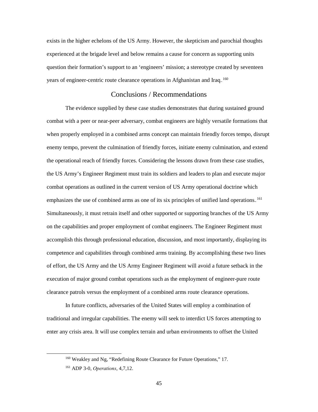exists in the higher echelons of the US Army. However, the skepticism and parochial thoughts experienced at the brigade level and below remains a cause for concern as supporting units question their formation's support to an 'engineers' mission; a stereotype created by seventeen years of engineer-centric route clearance operations in Afghanistan and Iraq.<sup>160</sup>

## Conclusions / Recommendations

<span id="page-53-0"></span>The evidence supplied by these case studies demonstrates that during sustained ground combat with a peer or near-peer adversary, combat engineers are highly versatile formations that when properly employed in a combined arms concept can maintain friendly forces tempo, disrupt enemy tempo, prevent the culmination of friendly forces, initiate enemy culmination, and extend the operational reach of friendly forces. Considering the lessons drawn from these case studies, the US Army's Engineer Regiment must train its soldiers and leaders to plan and execute major combat operations as outlined in the current version of US Army operational doctrine which emphasizes the use of combined arms as one of its six principles of unified land operations.<sup>161</sup> Simultaneously, it must retrain itself and other supported or supporting branches of the US Army on the capabilities and proper employment of combat engineers. The Engineer Regiment must accomplish this through professional education, discussion, and most importantly, displaying its competence and capabilities through combined arms training. By accomplishing these two lines of effort, the US Army and the US Army Engineer Regiment will avoid a future setback in the execution of major ground combat operations such as the employment of engineer-pure route clearance patrols versus the employment of a combined arms route clearance operations.

In future conflicts, adversaries of the United States will employ a combination of traditional and irregular capabilities. The enemy will seek to interdict US forces attempting to enter any crisis area. It will use complex terrain and urban environments to offset the United

<sup>&</sup>lt;sup>160</sup> Weakley and Ng, "Redefining Route Clearance for Future Operations," 17.

<sup>161</sup> ADP 3-0, *Operations*, 4,7,12.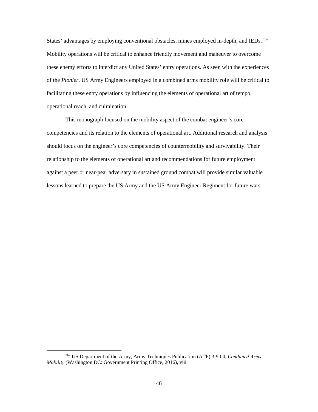States' advantages by employing conventional obstacles, mines employed in-depth, and IEDs. <sup>162</sup> Mobility operations will be critical to enhance friendly movement and maneuver to overcome these enemy efforts to interdict any United States' entry operations. As seen with the experiences of the *Pionier*, US Army Engineers employed in a combined arms mobility role will be critical to facilitating these entry operations by influencing the elements of operational art of tempo, operational reach, and culmination.

This monograph focused on the mobility aspect of the combat engineer's core competencies and its relation to the elements of operational art. Additional research and analysis should focus on the engineer's core competencies of countermobility and survivability. Their relationship to the elements of operational art and recommendations for future employment against a peer or near-pear adversary in sustained ground combat will provide similar valuable lessons learned to prepare the US Army and the US Army Engineer Regiment for future wars.

 <sup>162</sup> US Department of the Army, Army Techniques Publication (ATP) 3-90.4, *Combined Arms Mobility* (Washington DC: Government Printing Office, 2016), viii.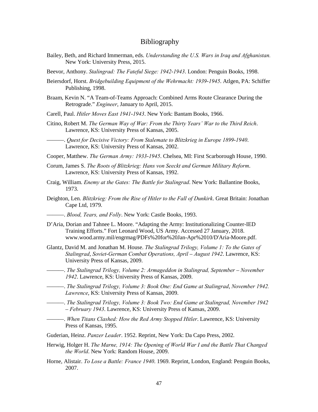## <span id="page-55-0"></span>Bibliography

- Bailey, Beth, and Richard Immerman, eds. *Understanding the U.S. Wars in Iraq and Afghanistan.* New York: University Press, 2015.
- Beevor, Anthony. *Stalingrad: The Fateful Siege: 1942-1943*. London: Penguin Books, 1998.
- Beiersdorf, Horst. *Bridgebuilding Equipment of the Wehrmacht: 1939-1945*. Atlgen, PA: Schiffer Publishing, 1998.
- Braam, Kevin N. "A Team-of-Teams Approach: Combined Arms Route Clearance During the Retrograde." *Engineer*, January to April, 2015.
- Carell, Paul. *Hitler Moves East 1941-1943*. New York: Bantam Books, 1966.
- Citino, Robert M. *The German Way of War: From the Thirty Years' War to the Third Reich*. Lawrence, KS: University Press of Kansas, 2005.

———. *Quest for Decisive Victory: From Stalemate to Blitzkrieg in Europe 1899-1940*. Lawrence, KS: University Press of Kansas, 2002.

- Cooper, Matthew. *The German Army: 1933-1945*. Chelsea, MI: First Scarborough House, 1990.
- Corum, James S. *The Roots of Blitzkrieg: Hans von Seeckt and German Military Reform*. Lawrence, KS: University Press of Kansas, 1992.
- Craig, William. *Enemy at the Gates: The Battle for Stalingrad*. New York: Ballantine Books, 1973.
- Deighton, Len. *Blitzkrieg: From the Rise of Hitler to the Fall of Dunkirk*. Great Britain: Jonathan Cape Ltd, 1979.
- ———. *Blood, Tears, and Folly*. New York: Castle Books, 1993.
- D'Aria, Dorian and Tahnee L. Moore. "Adapting the Army: Institutionalizing Counter-IED Training Efforts." Fort Leonard Wood, US Army. Accessed 27 January, 2018. www.wood.army.mil/engrmag/PDFs%20for%20Jan-Apr%2010/D'Aria-Moore.pdf.
- Glantz, David M. and Jonathan M. House. *The Stalingrad Trilogy, Volume 1: To the Gates of Stalingrad*, *Soviet-German Combat Operations, April – August 1942*. Lawrence, KS: University Press of Kansas, 2009.
- ———. *The Stalingrad Trilogy, Volume 2: Armageddon in Stalingrad, September November 1942*. Lawrence, KS: University Press of Kansas, 2009.
- ———. *The Stalingrad Trilogy, Volume 3: Book One: End Game at Stalingrad*, *November 1942. Lawrence*, KS: University Press of Kansas, 2009.
- ———. *The Stalingrad Trilogy, Volume 3: Book Two: End Game at Stalingrad, November 1942 – February 1943*. Lawrence, KS: University Press of Kansas, 2009.
- ———. *When Titans Clashed: How the Red Army Stopped Hitler*. Lawrence, KS: University Press of Kansas, 1995.
- Guderian, Heinz. *Panzer Leader*. 1952. Reprint, New York: Da Capo Press, 2002.
- Herwig, Holger H. *The Marne, 1914: The Opening of World War I and the Battle That Changed the World*. New York: Random House, 2009.
- Horne, Alistair. *To Lose a Battle: France 1940*. 1969. Reprint, London, England: Penguin Books, 2007.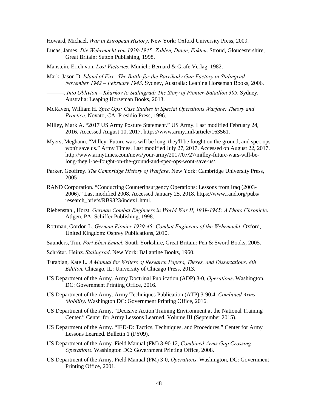Howard, Michael. *War in European History*. New York: Oxford University Press, 2009.

- Lucas, James. *Die Wehrmacht von 1939-1945: Zahlen, Daten, Fakten*. Stroud, Gloucestershire, Great Britain: Sutton Publishing, 1998.
- Manstein, Erich von. *Lost Victories*. Munich: Bernard & Gräfe Verlag, 1982.
- Mark, Jason D. *Island of Fire: The Battle for the Barrikady Gun Factory in Stalingrad: November 1942 – February 1943*. Sydney, Australia: Leaping Horseman Books, 2006.
	- ———. *Into Oblivion Kharkov to Stalingrad: The Story of Pionier-Bataillon 305*. Sydney, Australia: Leaping Horseman Books, 2013.
- McRaven, William H. *Spec Ops: Case Studies in Special Operations Warfare: Theory and Practice*. Novato, CA: Presidio Press, 1996.
- Milley, Mark A. "2017 US Army Posture Statement." US Army. Last modified February 24, 2016. Accessed August 10, 2017. https://www.army.mil/article/163561.
- Myers, Meghann. "Milley: Future wars will be long, they'll be fought on the ground, and spec ops won't save us." Army Times. Last modified July 27, 2017. Accessed on August 22, 2017. http://www.armytimes.com/news/your-army/2017/07/27/milley-future-wars-will-belong-theyll-be-fought-on-the-ground-and-spec-ops-wont-save-us/.
- Parker, Geoffrey. *The Cambridge History of Warfare*. New York: Cambridge University Press, 2005
- RAND Corporation. "Conducting Counterinsurgency Operations: Lessons from Iraq (2003- 2006)." Last modified 2008. Accessed January 25, 2018. https://www.rand.org/pubs/ research\_briefs/RB9323/index1.html.
- Riebenstahl, Horst. *German Combat Engineers in World War II, 1939-1945: A Photo Chronicle*. Atlgen, PA: Schiffer Publishing, 1998.
- Rottman, Gordon L. *German Pionier 1939-45: Combat Engineers of the Wehrmacht*. Oxford, United Kingdom: Osprey Publications, 2010.
- Saunders, Tim. *Fort Eben Emael.* South Yorkshire, Great Britain: Pen & Sword Books, 2005.
- Schrӧter, Heinz. *Stalingrad*. New York: Ballantine Books, 1960.
- Turabian, Kate L. *A Manual for Writers of Research Papers, Theses, and Dissertations. 8th Edition.* Chicago, IL: University of Chicago Press, 2013.
- US Department of the Army. Army Doctrinal Publication (ADP) 3-0, *Operations*. Washington, DC: Government Printing Office, 2016.
- US Department of the Army. Army Techniques Publication (ATP) 3-90.4, *Combined Arms Mobility*. Washington DC: Government Printing Office, 2016.
- US Department of the Army. "Decisive Action Training Environment at the National Training Center." Center for Army Lessons Learned. Volume III (September 2015).
- US Department of the Army. "IED-D: Tactics, Techniques, and Procedures." Center for Army Lessons Learned. Bulletin 1 (FY09).
- US Department of the Army. Field Manual (FM) 3-90.12, *Combined Arms Gap Crossing Operations*. Washington DC: Government Printing Office, 2008.
- US Department of the Army. Field Manual (FM) 3-0, *Operations*. Washington, DC: Government Printing Office, 2001.